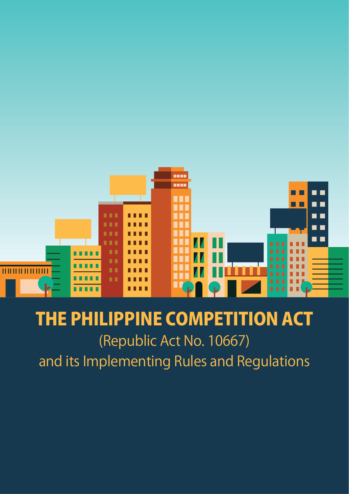

# THE PHILIPPINE COMPETITION ACT (Republic Act No. 10667)

and its Implementing Rules and Regulations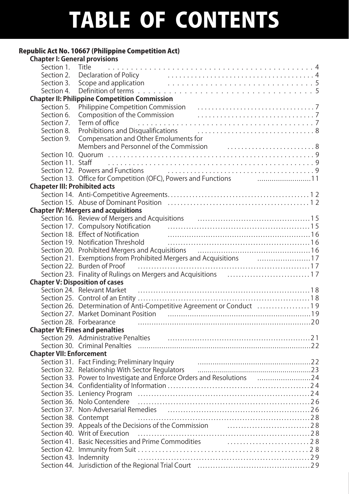# TABLE OF CONTENTS

#### Republic Act No. 10667 (Philippine Competition Act)

| <b>Chapter I: General provisions</b> |                                                                                                                         |
|--------------------------------------|-------------------------------------------------------------------------------------------------------------------------|
| Section 1.                           | Title                                                                                                                   |
| Section 2.                           | Declaration of Policy<br>Scope and application<br>Commutication<br>Commutation and Scope and application<br>Commutation |
| Section 3.                           |                                                                                                                         |
| Section 4.                           |                                                                                                                         |
|                                      | <b>Chapter II: Philippine Competition Commission</b>                                                                    |
| Section 5.                           |                                                                                                                         |
| Section 6.                           |                                                                                                                         |
| Section 7.                           | Term of office                                                                                                          |
| Section 8.                           |                                                                                                                         |
| Section 9.                           | Compensation and Other Emoluments for                                                                                   |
|                                      | Members and Personnel of the Commission<br>Section 10. Quorum                                                           |
|                                      |                                                                                                                         |
| Section 11. Staff                    |                                                                                                                         |
|                                      |                                                                                                                         |
|                                      |                                                                                                                         |
| <b>Chapeter III: Prohibited acts</b> |                                                                                                                         |
|                                      |                                                                                                                         |
|                                      |                                                                                                                         |
|                                      | <b>Chapter IV: Mergers and acquisitions</b>                                                                             |
|                                      | Section 16. Review of Mergers and Acquisitions<br>Section 17. Compulsory Notification<br>15                             |
|                                      |                                                                                                                         |
|                                      | Section 18. Effect of Notification                                                                                      |
|                                      |                                                                                                                         |
|                                      |                                                                                                                         |
|                                      | Section 21. Exemptions from Prohibited Mergers and Acquisitions 17                                                      |
|                                      | Section 22. Burden of Proof (and according continuum) and according to the Section 22. Burden of Proof                  |
|                                      |                                                                                                                         |
|                                      | <b>Chapter V: Disposition of cases</b>                                                                                  |
|                                      | Section 24. Relevant Market                                                                                             |
|                                      |                                                                                                                         |
|                                      | Section 26. Determination of Anti-Competitive Agreement or Conduct  19                                                  |
|                                      | Section 27. Market Dominant Position in the contract of the contract of 19                                              |
|                                      | Section 28. Forbearance                                                                                                 |
|                                      | <b>Chapter VI: Fines and penalties</b><br>Section 29. Administrative Penalties (and according term in the contract of 1 |
|                                      |                                                                                                                         |
|                                      |                                                                                                                         |
| <b>Chapter VII: Enforcement</b>      |                                                                                                                         |
|                                      |                                                                                                                         |
|                                      |                                                                                                                         |
|                                      |                                                                                                                         |
|                                      |                                                                                                                         |
|                                      |                                                                                                                         |
|                                      | Section 37. Non-Adversarial Remedies (and the content of the content of the section 37. Non-Adversarial Remedies        |
|                                      | Section 38. Contempt                                                                                                    |
|                                      |                                                                                                                         |
|                                      |                                                                                                                         |
|                                      |                                                                                                                         |
|                                      |                                                                                                                         |
| Section 43. Indemnity                |                                                                                                                         |
|                                      |                                                                                                                         |
|                                      |                                                                                                                         |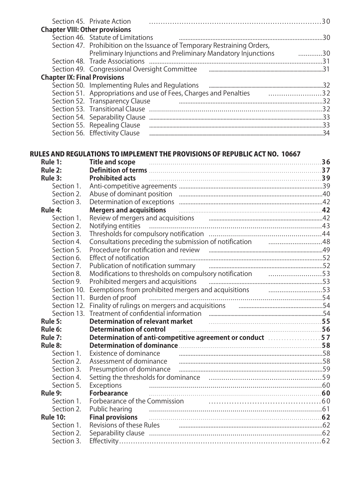|                                       | Section 45. Private Action                                                                                                                                                                                                         |  |
|---------------------------------------|------------------------------------------------------------------------------------------------------------------------------------------------------------------------------------------------------------------------------------|--|
| <b>Chapter VIII: Other provisions</b> |                                                                                                                                                                                                                                    |  |
|                                       | Section 46. Statute of Limitations                                                                                                                                                                                                 |  |
|                                       | Section 47. Prohibition on the Issuance of Temporary Restraining Orders,                                                                                                                                                           |  |
|                                       | Preliminary Injunctions and Preliminary Mandatory Injunctions 30                                                                                                                                                                   |  |
|                                       |                                                                                                                                                                                                                                    |  |
|                                       |                                                                                                                                                                                                                                    |  |
| <b>Chapter IX: Final Provisions</b>   |                                                                                                                                                                                                                                    |  |
|                                       |                                                                                                                                                                                                                                    |  |
|                                       |                                                                                                                                                                                                                                    |  |
|                                       |                                                                                                                                                                                                                                    |  |
|                                       |                                                                                                                                                                                                                                    |  |
|                                       |                                                                                                                                                                                                                                    |  |
|                                       | Section 55. Repealing Clause manufactured and content and 33                                                                                                                                                                       |  |
|                                       |                                                                                                                                                                                                                                    |  |
|                                       |                                                                                                                                                                                                                                    |  |
|                                       |                                                                                                                                                                                                                                    |  |
|                                       | RULES AND REGULATIONS TO IMPLEMENT THE PROVISIONS OF REPUBLIC ACT NO. 10667                                                                                                                                                        |  |
| Rule 1:                               | Title and scope <u>and scope</u> and scope and scope and scope and scope and scope and scope and scope and scope and scope and scope and scope and scope and scope and scope and scope and scope and scope and scope and scope and |  |
| Rule 2:                               |                                                                                                                                                                                                                                    |  |
| Rule 3:                               | Prohibited acts manufactured acts and the set of the set of the set of the set of the set of the set of the set of the set of the set of the set of the set of the set of the set of the set of the set of the set of the set      |  |
| Section 1.                            |                                                                                                                                                                                                                                    |  |
| Section 2.                            |                                                                                                                                                                                                                                    |  |
| Section 3.                            |                                                                                                                                                                                                                                    |  |
| Rule 4:                               | Mergers and acquisitions <b>contract and acquisitions</b> and acquisitions <b>contract and acquisitions</b>                                                                                                                        |  |
| Section 1.                            | mary are and acquisitions<br>Neview of mergers and acquisitions<br>Notifying entities<br>Assumentional communications                                                                                                              |  |
| Section 2.                            |                                                                                                                                                                                                                                    |  |
| Section 3.                            |                                                                                                                                                                                                                                    |  |
| Section 4.                            | Consultations preceding the submission of notification [148] Procedure for notification and review [149] Procedure for notification and review [149]                                                                               |  |
| Section 5.                            |                                                                                                                                                                                                                                    |  |
| Section 6.                            | Effect of notification                                                                                                                                                                                                             |  |
| Section 7.                            |                                                                                                                                                                                                                                    |  |
| Section 8.                            |                                                                                                                                                                                                                                    |  |
| Section 9.                            | Modifications to thresholds on compulsory notification<br>Prohibited mergers and acquisitions<br>53                                                                                                                                |  |
|                                       |                                                                                                                                                                                                                                    |  |
|                                       |                                                                                                                                                                                                                                    |  |
|                                       |                                                                                                                                                                                                                                    |  |
|                                       | Section 12. Finality of rulings on mergers and acquisitions<br>Section 13. Treatment of confidential information                                                                                                                   |  |
| Rule 5:                               |                                                                                                                                                                                                                                    |  |
| Rule 6:                               | Determination of relevant market<br>Determination of control material control control determination of control                                                                                                                     |  |
| Rule 7:                               | Determination of anti-competitive agreement or conduct 57                                                                                                                                                                          |  |
| Rule 8:                               |                                                                                                                                                                                                                                    |  |
| Section 1.                            | Existence of dominance                                                                                                                                                                                                             |  |
| Section 2.                            | Assessment of dominance                                                                                                                                                                                                            |  |
| Section 3.                            |                                                                                                                                                                                                                                    |  |
| Section 4.                            |                                                                                                                                                                                                                                    |  |
| Section 5.                            |                                                                                                                                                                                                                                    |  |
| Rule 9:                               | Forbearance                                                                                                                                                                                                                        |  |
| Section 1.                            |                                                                                                                                                                                                                                    |  |
| Section 2.                            |                                                                                                                                                                                                                                    |  |
|                                       | Public hearing                                                                                                                                                                                                                     |  |
| <b>Rule 10:</b>                       |                                                                                                                                                                                                                                    |  |
| Section 1.                            | Revisions of these Rules communications and the Revisions of these Rules                                                                                                                                                           |  |
| Section 2.                            |                                                                                                                                                                                                                                    |  |
| Section 3.                            |                                                                                                                                                                                                                                    |  |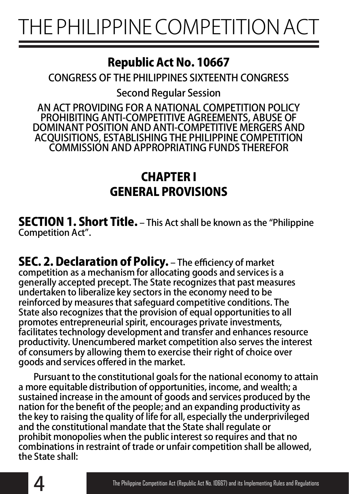#### Republic Act No. 10667

CONGRESS OF THE PHILIPPINES SIXTEENTH CONGRESS

Second Regular Session

AN ACT PROVIDING FOR A NATIONAL COMPETITION POLICY PROHIBITING ANTI-COMPETITIVE AGREEMENTS, ABUSE OF DOMINANT POSITION AND ANTI-COMPETITIVE MERGERS AND ACQUISITIONS, ESTABLISHING THE PHILIPPINE COMPETITION COMMISSION AND APPROPRIATING FUNDS THEREFOR

# CHAPTER I GENERAL PROVISIONS

SECTION 1. Short Title. – This Act shall be known as the "Philippine Competition Act".

**SEC. 2. Declaration of Policy.** – The efficiency of market competition as a mechanism for allocating goods and services is a generally accepted precept. The State recognizes that past measures undertaken to liberalize key sectors in the economy need to be reinforced by measures that safeguard competitive conditions. The State also recognizes that the provision of equal opportunities to all promotes entrepreneurial spirit, encourages private investments, facilitates technology development and transfer and enhances resource productivity. Unencumbered market competition also serves the interest of consumers by allowing them to exercise their right of choice over goods and services offered in the market.

Pursuant to the constitutional goals for the national economy to attain a more equitable distribution of opportunities, income, and wealth; a sustained increase in the amount of goods and services produced by the nation for the benefit of the people; and an expanding productivity as the key to raising the quality of life for all, especially the underprivileged and the constitutional mandate that the State shall regulate or prohibit monopolies when the public interest so requires and that no combinations in restraint of trade or unfair competition shall be allowed, the State shall: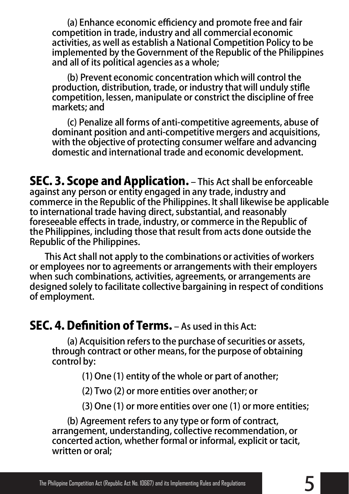(a) Enhance economic efficiency and promote free and fair competition in trade, industry and all commercial economic activities, as well as establish a National Competition Policy to be implemented by the Government of the Republic of the Philippines and all of its political agencies as a whole;

(b) Prevent economic concentration which will control the production, distribution, trade, or industry that will unduly stifle competition, lessen, manipulate or constrict the discipline of free markets; and

(c) Penalize all forms of anti-competitive agreements, abuse of dominant position and anti-competitive mergers and acquisitions, with the objective of protecting consumer welfare and advancing domestic and international trade and economic development.

SEC. 3. Scope and Application. – This Act shall be enforceable against any person or entity engaged in any trade, industry and commerce in the Republic of the Philippines. It shall likewise be applicable to international trade having direct, substantial, and reasonably foreseeable effects in trade, industry, or commerce in the Republic of the Philippines, including those that result from acts done outside the Republic of the Philippines.

This Act shall not apply to the combinations or activities of workers or employees nor to agreements or arrangements with their employers when such combinations, activities, agreements, or arrangements are designed solely to facilitate collective bargaining in respect of conditions of employment.

#### SEC. 4. Definition of Terms. – As used in this Act:

(a) Acquisition refers to the purchase of securities or assets, through contract or other means, for the purpose of obtaining control by:

(1) One (1) entity of the whole or part of another;

(2) Two (2) or more entities over another; or

(3) One (1) or more entities over one (1) or more entities;

(b) Agreement refers to any type or form of contract, arrangement, understanding, collective recommendation, or concerted action, whether formal or informal, explicit or tacit, written or oral;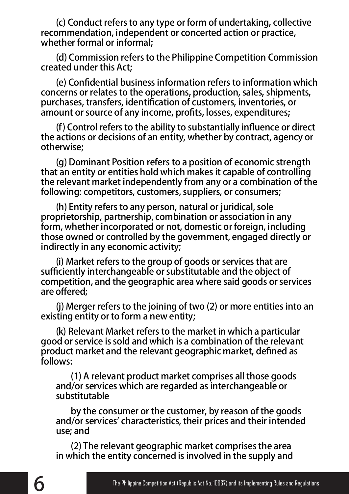(c) Conduct refers to any type or form of undertaking, collective recommendation, independent or concerted action or practice, whether formal or informal;

(d) Commission refers to the Philippine Competition Commission created under this Act;

(e) Confidential business information refers to information which concerns or relates to the operations, production, sales, shipments, purchases, transfers, identification of customers, inventories, or amount or source of any income, profits, losses, expenditures;

(f) Control refers to the ability to substantially influence or direct the actions or decisions of an entity, whether by contract, agency or otherwise;

(g) Dominant Position refers to a position of economic strength that an entity or entities hold which makes it capable of controlling the relevant market independently from any or a combination of the following: competitors, customers, suppliers, or consumers;

(h) Entity refers to any person, natural or juridical, sole proprietorship, partnership, combination or association in any form, whether incorporated or not, domestic or foreign, including those owned or controlled by the government, engaged directly or indirectly in any economic activity;

(i) Market refers to the group of goods or services that are sufficiently interchangeable or substitutable and the object of competition, and the geographic area where said goods or services are offered;

(j) Merger refers to the joining of two (2) or more entities into an existing entity or to form a new entity;

(k) Relevant Market refers to the market in which a particular good or service is sold and which is a combination of the relevant product market and the relevant geographic market, defined as follows:

(1) A relevant product market comprises all those goods and/or services which are regarded as interchangeable or substitutable

by the consumer or the customer, by reason of the goods and/or services' characteristics, their prices and their intended use; and

(2) The relevant geographic market comprises the area in which the entity concerned is involved in the supply and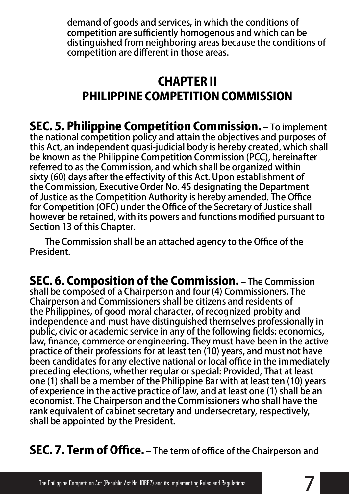demand of goods and services, in which the conditions of competition are sufficiently homogenous and which can be distinguished from neighboring areas because the conditions of competition are different in those areas.

# CHAPTER II PHILIPPINE COMPETITION COMMISSION

SEC. 5. Philippine Competition Commission. – To implement the national competition policy and attain the objectives and purposes of this Act, an independent quasi-judicial body is hereby created, which shall be known as the Philippine Competition Commission (PCC), hereinafter referred to as the Commission, and which shall be organized within sixty (60) days after the effectivity of this Act. Upon establishment of the Commission, Executive Order No. 45 designating the Department of Justice as the Competition Authority is hereby amended. The Office for Competition (OFC) under the Office of the Secretary of Justice shall however be retained, with its powers and functions modified pursuant to Section 13 of this Chapter.

The Commission shall be an attached agency to the Office of the President.

SEC. 6. Composition of the Commission. – The Commission shall be composed of a Chairperson and four (4) Commissioners. The Chairperson and Commissioners shall be citizens and residents of the Philippines, of good moral character, of recognized probity and independence and must have distinguished themselves professionally in public, civic or academic service in any of the following fields: economics, law, finance, commerce or engineering. They must have been in the active practice of their professions for at least ten (10) years, and must not have been candidates for any elective national or local office in the immediately preceding elections, whether regular or special: Provided, That at least one (1) shall be a member of the Philippine Bar with at least ten (10) years of experience in the active practice of law, and at least one (1) shall be an economist. The Chairperson and the Commissioners who shall have the rank equivalent of cabinet secretary and undersecretary, respectively, shall be appointed by the President.

SEC. 7. Term of Office. - The term of office of the Chairperson and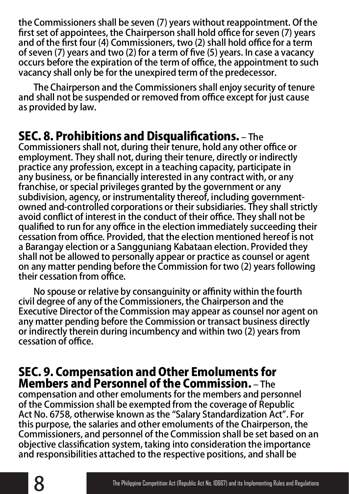the Commissioners shall be seven (7) years without reappointment. Of the first set of appointees, the Chairperson shall hold office for seven (7) years and of the first four (4) Commissioners, two (2) shall hold office for a term of seven (7) years and two (2) for a term of five (5) years. In case a vacancy occurs before the expiration of the term of office, the appointment to such vacancy shall only be for the unexpired term of the predecessor.

The Chairperson and the Commissioners shall enjoy security of tenure and shall not be suspended or removed from office except for just cause as provided by law.

#### SEC. 8. Prohibitions and Disqualifications. – The

Commissioners shall not, during their tenure, hold any other office or employment. They shall not, during their tenure, directly or indirectly practice any profession, except in a teaching capacity, participate in any business, or be financially interested in any contract with, or any franchise, or special privileges granted by the government or any subdivision, agency, or instrumentality thereof, including governmentowned and-controlled corporations or their subsidiaries. They shall strictly avoid conflict of interest in the conduct of their office. They shall not be qualified to run for any office in the election immediately succeeding their cessation from office. Provided, that the election mentioned hereof is not a Barangay election or a Sangguniang Kabataan election. Provided they shall not be allowed to personally appear or practice as counsel or agent on any matter pending before the Commission for two (2) years following their cessation from office.

No spouse or relative by consanguinity or affinity within the fourth civil degree of any of the Commissioners, the Chairperson and the Executive Director of the Commission may appear as counsel nor agent on any matter pending before the Commission or transact business directly or indirectly therein during incumbency and within two (2) years from cessation of office.

#### SEC. 9. Compensation and Other Emoluments for Members and Personnel of the Commission. – The

compensation and other emoluments for the members and personnel of the Commission shall be exempted from the coverage of Republic Act No. 6758, otherwise known as the "Salary Standardization Act". For this purpose, the salaries and other emoluments of the Chairperson, the Commissioners, and personnel of the Commission shall be set based on an objective classification system, taking into consideration the importance and responsibilities attached to the respective positions, and shall be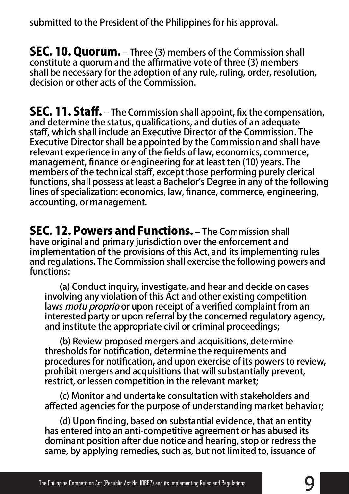submitted to the President of the Philippines for his approval.

**SEC. 10. Quorum.** – Three (3) members of the Commission shall constitute a quorum and the affirmative vote of three (3) members shall be necessary for the adoption of any rule, ruling, order, resolution, decision or other acts of the Commission.

**SEC. 11. Staff.** – The Commission shall appoint, fix the compensation, and determine the status, qualifications, and duties of an adequate staff, which shall include an Executive Director of the Commission. The Executive Director shall be appointed by the Commission and shall have relevant experience in any of the fields of law, economics, commerce, management, finance or engineering for at least ten (10) years. The members of the technical staff, except those performing purely clerical functions, shall possess at least a Bachelor's Degree in any of the following lines of specialization: economics, law, finance, commerce, engineering, accounting, or management.

SEC. 12. Powers and Functions. – The Commission shall have original and primary jurisdiction over the enforcement and implementation of the provisions of this Act, and its implementing rules and regulations. The Commission shall exercise the following powers and functions:

(a) Conduct inquiry, investigate, and hear and decide on cases involving any violation of this Act and other existing competition laws *motu proprio* or upon receipt of a verified complaint from an interested party or upon referral by the concerned regulatory agency, and institute the appropriate civil or criminal proceedings;

(b) Review proposed mergers and acquisitions, determine thresholds for notification, determine the requirements and procedures for notification, and upon exercise of its powers to review, prohibit mergers and acquisitions that will substantially prevent, restrict, or lessen competition in the relevant market;

(c) Monitor and undertake consultation with stakeholders and affected agencies for the purpose of understanding market behavior;

(d) Upon finding, based on substantial evidence, that an entity has entered into an anti-competitive agreement or has abused its dominant position after due notice and hearing, stop or redress the same, by applying remedies, such as, but not limited to, issuance of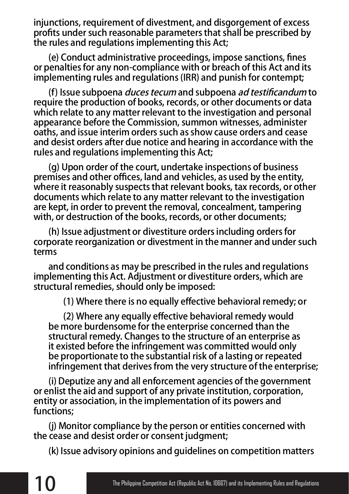injunctions, requirement of divestment, and disgorgement of excess profits under such reasonable parameters that shall be prescribed by the rules and regulations implementing this Act;

(e) Conduct administrative proceedings, impose sanctions, fines or penalties for any non-compliance with or breach of this Act and its implementing rules and regulations (IRR) and punish for contempt;

(f) Issue subpoena duces tecum and subpoena ad testificandum to require the production of books, records, or other documents or data which relate to any matter relevant to the investigation and personal appearance before the Commission, summon witnesses, administer oaths, and issue interim orders such as show cause orders and cease and desist orders after due notice and hearing in accordance with the rules and regulations implementing this Act;

(g) Upon order of the court, undertake inspections of business premises and other offices, land and vehicles, as used by the entity, where it reasonably suspects that relevant books, tax records, or other documents which relate to any matter relevant to the investigation are kept, in order to prevent the removal, concealment, tampering with, or destruction of the books, records, or other documents;

(h) Issue adjustment or divestiture orders including orders for corporate reorganization or divestment in the manner and under such terms

and conditions as may be prescribed in the rules and regulations implementing this Act. Adjustment or divestiture orders, which are structural remedies, should only be imposed:

(1) Where there is no equally effective behavioral remedy; or

(2) Where any equally effective behavioral remedy would be more burdensome for the enterprise concerned than the structural remedy. Changes to the structure of an enterprise as it existed before the infringement was committed would only be proportionate to the substantial risk of a lasting or repeated infringement that derives from the very structure of the enterprise;

(i) Deputize any and all enforcement agencies of the government or enlist the aid and support of any private institution, corporation, entity or association, in the implementation of its powers and functions;

(j) Monitor compliance by the person or entities concerned with the cease and desist order or consent judgment;

(k) Issue advisory opinions and guidelines on competition matters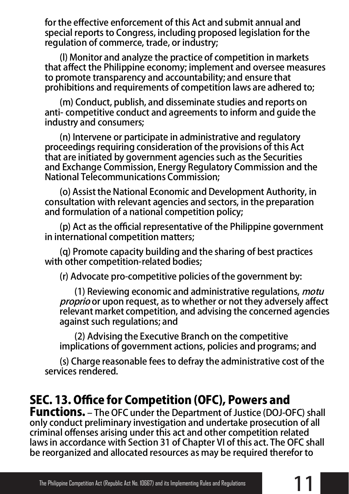for the effective enforcement of this Act and submit annual and special reports to Congress, including proposed legislation for the regulation of commerce, trade, or industry;

(l) Monitor and analyze the practice of competition in markets that affect the Philippine economy; implement and oversee measures to promote transparency and accountability; and ensure that prohibitions and requirements of competition laws are adhered to;

(m) Conduct, publish, and disseminate studies and reports on anti- competitive conduct and agreements to inform and guide the industry and consumers;

(n) Intervene or participate in administrative and regulatory proceedings requiring consideration of the provisions of this Act that are initiated by government agencies such as the Securities and Exchange Commission, Energy Regulatory Commission and the National Telecommunications Commission;

(o) Assist the National Economic and Development Authority, in consultation with relevant agencies and sectors, in the preparation and formulation of a national competition policy;

(p) Act as the official representative of the Philippine government in international competition matters;

(q) Promote capacity building and the sharing of best practices with other competition-related bodies;

(r) Advocate pro-competitive policies of the government by:

(1) Reviewing economic and administrative regulations, motu proprio or upon request, as to whether or not they adversely affect relevant market competition, and advising the concerned agencies against such regulations; and

(2) Advising the Executive Branch on the competitive implications of government actions, policies and programs; and

(s) Charge reasonable fees to defray the administrative cost of the services rendered.

#### SEC. 13. Office for Competition (OFC), Powers and

**Functions.** – The OFC under the Department of Justice (DOJ-OFC) shall only conduct preliminary investigation and undertake prosecution of all criminal offenses arising under this act and other competition related laws in accordance with Section 31 of Chapter VI of this act. The OFC shall be reorganized and allocated resources as may be required therefor to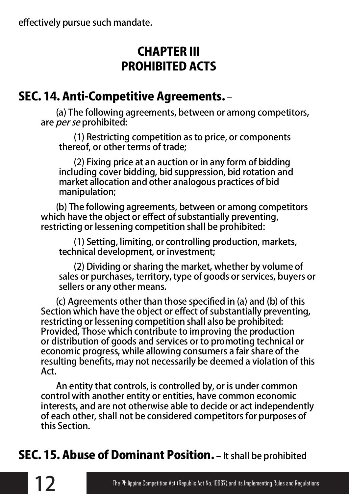effectively pursue such mandate.

#### CHAPTER III PROHIBITED ACTS

#### SEC. 14. Anti-Competitive Agreements. –

(a) The following agreements, between or among competitors, are *per se* prohibited:

(1) Restricting competition as to price, or components thereof, or other terms of trade;

(2) Fixing price at an auction or in any form of bidding including cover bidding, bid suppression, bid rotation and market allocation and other analogous practices of bid manipulation;

(b) The following agreements, between or among competitors which have the object or effect of substantially preventing, restricting or lessening competition shall be prohibited:

(1) Setting, limiting, or controlling production, markets, technical development, or investment;

(2) Dividing or sharing the market, whether by volume of sales or purchases, territory, type of goods or services, buyers or sellers or any other means.

(c) Agreements other than those specified in (a) and (b) of this Section which have the object or effect of substantially preventing, restricting or lessening competition shall also be prohibited: Provided, Those which contribute to improving the production or distribution of goods and services or to promoting technical or economic progress, while allowing consumers a fair share of the resulting benefits, may not necessarily be deemed a violation of this Act.

An entity that controls, is controlled by, or is under common control with another entity or entities, have common economic interests, and are not otherwise able to decide or act independently of each other, shall not be considered competitors for purposes of this Section.

#### SEC. 15. Abuse of Dominant Position. – It shall be prohibited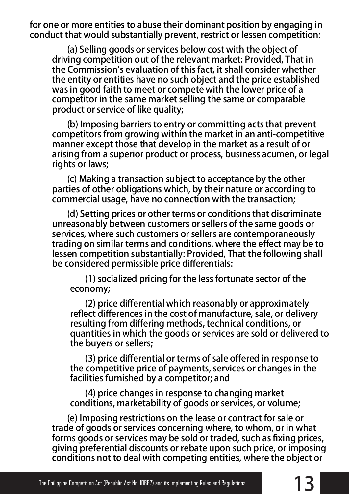for one or more entities to abuse their dominant position by engaging in conduct that would substantially prevent, restrict or lessen competition:

(a) Selling goods or services below cost with the object of driving competition out of the relevant market: Provided, That in the Commission's evaluation of this fact, it shall consider whether the entity or entities have no such object and the price established was in good faith to meet or compete with the lower price of a competitor in the same market selling the same or comparable product or service of like quality;

(b) Imposing barriers to entry or committing acts that prevent competitors from growing within the market in an anti-competitive manner except those that develop in the market as a result of or arising from a superior product or process, business acumen, or legal rights or laws;

(c) Making a transaction subject to acceptance by the other parties of other obligations which, by their nature or according to commercial usage, have no connection with the transaction;

(d) Setting prices or other terms or conditions that discriminate unreasonably between customers or sellers of the same goods or services, where such customers or sellers are contemporaneously trading on similar terms and conditions, where the effect may be to lessen competition substantially: Provided, That the following shall be considered permissible price differentials:

(1) socialized pricing for the less fortunate sector of the economy;

(2) price differential which reasonably or approximately reflect differences in the cost of manufacture, sale, or delivery resulting from differing methods, technical conditions, or quantities in which the goods or services are sold or delivered to the buyers or sellers;

(3) price differential or terms of sale offered in response to the competitive price of payments, services or changes in the facilities furnished by a competitor; and

(4) price changes in response to changing market conditions, marketability of goods or services, or volume;

(e) Imposing restrictions on the lease or contract for sale or trade of goods or services concerning where, to whom, or in what forms goods or services may be sold or traded, such as fixing prices, giving preferential discounts or rebate upon such price, or imposing conditions not to deal with competing entities, where the object or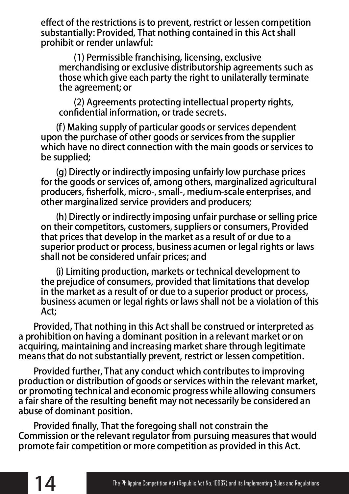effect of the restrictions is to prevent, restrict or lessen competition substantially: Provided, That nothing contained in this Act shall prohibit or render unlawful:

(1) Permissible franchising, licensing, exclusive merchandising or exclusive distributorship agreements such as those which give each party the right to unilaterally terminate the agreement; or

(2) Agreements protecting intellectual property rights, confidential information, or trade secrets.

(f) Making supply of particular goods or services dependent upon the purchase of other goods or services from the supplier which have no direct connection with the main goods or services to be supplied;

(g) Directly or indirectly imposing unfairly low purchase prices for the goods or services of, among others, marginalized agricultural producers, fisherfolk, micro-, small-, medium-scale enterprises, and other marginalized service providers and producers;

(h) Directly or indirectly imposing unfair purchase or selling price on their competitors, customers, suppliers or consumers, Provided that prices that develop in the market as a result of or due to a superior product or process, business acumen or legal rights or laws shall not be considered unfair prices; and

(i) Limiting production, markets or technical development to the prejudice of consumers, provided that limitations that develop in the market as a result of or due to a superior product or process, business acumen or legal rights or laws shall not be a violation of this Act;

Provided, That nothing in this Act shall be construed or interpreted as a prohibition on having a dominant position in a relevant market or on acquiring, maintaining and increasing market share through legitimate means that do not substantially prevent, restrict or lessen competition.

Provided further, That any conduct which contributes to improving production or distribution of goods or services within the relevant market, or promoting technical and economic progress while allowing consumers a fair share of the resulting benefit may not necessarily be considered an abuse of dominant position.

Provided finally, That the foregoing shall not constrain the Commission or the relevant regulator from pursuing measures that would promote fair competition or more competition as provided in this Act.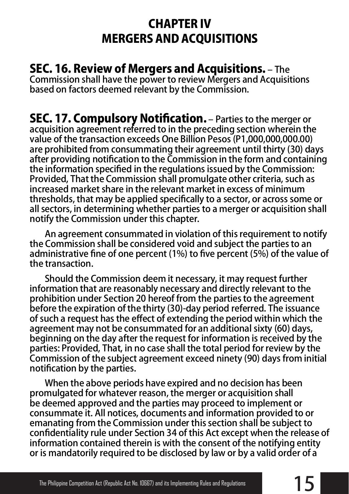#### CHAPTER IV MERGERS AND ACQUISITIONS

#### SEC. 16. Review of Mergers and Acquisitions. – The

Commission shall have the power to review Mergers and Acquisitions based on factors deemed relevant by the Commission.

SEC. 17. Compulsory Notification. – Parties to the merger or acquisition agreement referred to in the preceding section wherein the value of the transaction exceeds One Billion Pesos (P1,000,000,000.00) are prohibited from consummating their agreement until thirty (30) days after providing notification to the Commission in the form and containing the information specified in the regulations issued by the Commission: Provided, That the Commission shall promulgate other criteria, such as increased market share in the relevant market in excess of minimum thresholds, that may be applied specifically to a sector, or across some or all sectors, in determining whether parties to a merger or acquisition shall notify the Commission under this chapter.

An agreement consummated in violation of this requirement to notify the Commission shall be considered void and subject the parties to an administrative fine of one percent (1%) to five percent (5%) of the value of the transaction.

Should the Commission deem it necessary, it may request further information that are reasonably necessary and directly relevant to the prohibition under Section 20 hereof from the parties to the agreement before the expiration of the thirty (30)-day period referred. The issuance of such a request has the effect of extending the period within which the agreement may not be consummated for an additional sixty (60) days, beginning on the day after the request for information is received by the parties: Provided, That, in no case shall the total period for review by the Commission of the subject agreement exceed ninety (90) days from initial notification by the parties.

When the above periods have expired and no decision has been promulgated for whatever reason, the merger or acquisition shall be deemed approved and the parties may proceed to implement or consummate it. All notices, documents and information provided to or emanating from the Commission under this section shall be subject to confidentiality rule under Section 34 of this Act except when the release of information contained therein is with the consent of the notifying entity or is mandatorily required to be disclosed by law or by a valid order of a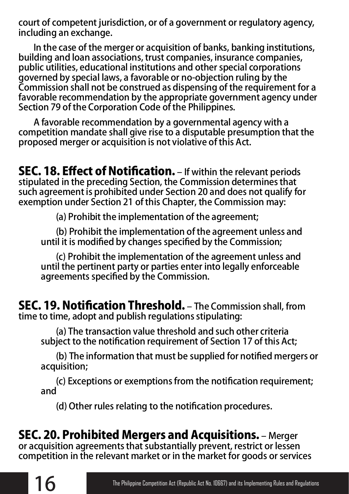court of competent jurisdiction, or of a government or regulatory agency, including an exchange.

In the case of the merger or acquisition of banks, banking institutions, building and loan associations, trust companies, insurance companies, public utilities, educational institutions and other special corporations governed by special laws, a favorable or no-objection ruling by the Commission shall not be construed as dispensing of the requirement for a favorable recommendation by the appropriate government agency under Section 79 of the Corporation Code of the Philippines.

A favorable recommendation by a governmental agency with a competition mandate shall give rise to a disputable presumption that the proposed merger or acquisition is not violative of this Act.

SEC. 18. Effect of Notification. - If within the relevant periods stipulated in the preceding Section, the Commission determines that such agreement is prohibited under Section 20 and does not qualify for exemption under Section 21 of this Chapter, the Commission may:

(a) Prohibit the implementation of the agreement;

(b) Prohibit the implementation of the agreement unless and until it is modified by changes specified by the Commission;

(c) Prohibit the implementation of the agreement unless and until the pertinent party or parties enter into legally enforceable agreements specified by the Commission.

SEC. 19. Notification Threshold. – The Commission shall, from time to time, adopt and publish regulations stipulating:

(a) The transaction value threshold and such other criteria subject to the notification requirement of Section 17 of this Act;

(b) The information that must be supplied for notified mergers or acquisition;

(c) Exceptions or exemptions from the notification requirement; and

(d) Other rules relating to the notification procedures.

# SEC. 20. Prohibited Mergers and Acquisitions. – Merger

or acquisition agreements that substantially prevent, restrict or lessen competition in the relevant market or in the market for goods or services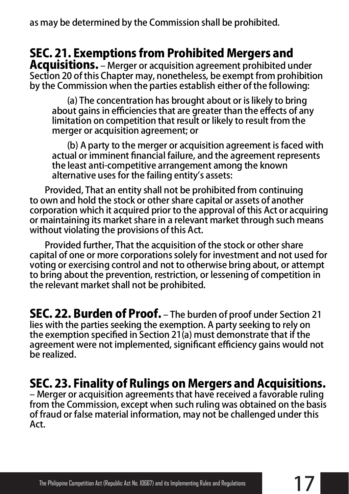as may be determined by the Commission shall be prohibited.

#### SEC. 21. Exemptions from Prohibited Mergers and

Acquisitions. - Merger or acquisition agreement prohibited under Section 20 of this Chapter may, nonetheless, be exempt from prohibition by the Commission when the parties establish either of the following:

(a) The concentration has brought about or is likely to bring about gains in efficiencies that are greater than the effects of any limitation on competition that result or likely to result from the merger or acquisition agreement; or

(b) A party to the merger or acquisition agreement is faced with actual or imminent financial failure, and the agreement represents the least anti-competitive arrangement among the known alternative uses for the failing entity's assets:

Provided, That an entity shall not be prohibited from continuing to own and hold the stock or other share capital or assets of another corporation which it acquired prior to the approval of this Act or acquiring or maintaining its market share in a relevant market through such means without violating the provisions of this Act.

Provided further, That the acquisition of the stock or other share capital of one or more corporations solely for investment and not used for voting or exercising control and not to otherwise bring about, or attempt to bring about the prevention, restriction, or lessening of competition in the relevant market shall not be prohibited.

SEC. 22. Burden of Proof. – The burden of proof under Section 21 lies with the parties seeking the exemption. A party seeking to rely on the exemption specified in Section 21(a) must demonstrate that if the agreement were not implemented, significant efficiency gains would not be realized.

#### SEC. 23. Finality of Rulings on Mergers and Acquisitions.

– Merger or acquisition agreements that have received a favorable ruling from the Commission, except when such ruling was obtained on the basis of fraud or false material information, may not be challenged under this Act.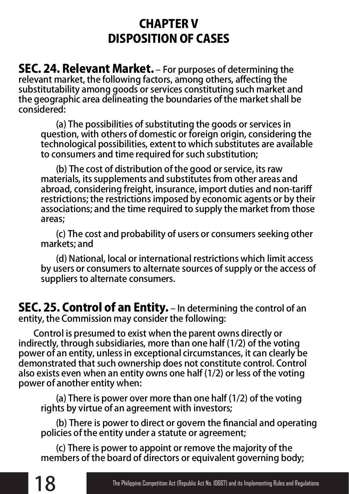#### CHAPTER V DISPOSITION OF CASES

SEC. 24. Relevant Market. – For purposes of determining the relevant market, the following factors, among others, affecting the substitutability among goods or services constituting such market and the geographic area delineating the boundaries of the market shall be considered:

(a) The possibilities of substituting the goods or services in question, with others of domestic or foreign origin, considering the technological possibilities, extent to which substitutes are available to consumers and time required for such substitution;

(b) The cost of distribution of the good or service, its raw materials, its supplements and substitutes from other areas and abroad, considering freight, insurance, import duties and non-tariff restrictions; the restrictions imposed by economic agents or by their associations; and the time required to supply the market from those areas;

(c) The cost and probability of users or consumers seeking other markets; and

(d) National, local or international restrictions which limit access by users or consumers to alternate sources of supply or the access of suppliers to alternate consumers.

**SEC. 25. Control of an Entity.** – In determining the control of an entity, the Commission may consider the following:

Control is presumed to exist when the parent owns directly or indirectly, through subsidiaries, more than one half (1/2) of the voting power of an entity, unless in exceptional circumstances, it can clearly be demonstrated that such ownership does not constitute control. Control also exists even when an entity owns one half (1/2) or less of the voting power of another entity when:

(a) There is power over more than one half (1/2) of the voting rights by virtue of an agreement with investors;

(b) There is power to direct or govern the financial and operating policies of the entity under a statute or agreement;

(c) There is power to appoint or remove the majority of the members of the board of directors or equivalent governing body;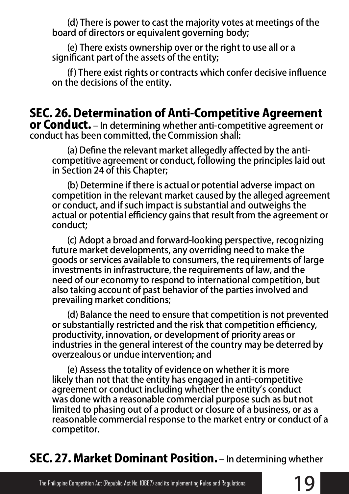(d) There is power to cast the majority votes at meetings of the board of directors or equivalent governing body;

(e) There exists ownership over or the right to use all or a significant part of the assets of the entity;

(f) There exist rights or contracts which confer decisive influence on the decisions of the entity.

#### SEC. 26. Determination of Anti-Competitive Agreement

or Conduct. - In determining whether anti-competitive agreement or conduct has been committed, the Commission shall:

(a) Define the relevant market allegedly affected by the anticompetitive agreement or conduct, following the principles laid out in Section 24 of this Chapter;

(b) Determine if there is actual or potential adverse impact on competition in the relevant market caused by the alleged agreement or conduct, and if such impact is substantial and outweighs the actual or potential efficiency gains that result from the agreement or conduct;

(c) Adopt a broad and forward-looking perspective, recognizing future market developments, any overriding need to make the goods or services available to consumers, the requirements of large investments in infrastructure, the requirements of law, and the need of our economy to respond to international competition, but also taking account of past behavior of the parties involved and prevailing market conditions;

(d) Balance the need to ensure that competition is not prevented or substantially restricted and the risk that competition efficiency, productivity, innovation, or development of priority areas or industries in the general interest of the country may be deterred by overzealous or undue intervention; and

(e) Assess the totality of evidence on whether it is more likely than not that the entity has engaged in anti-competitive agreement or conduct including whether the entity's conduct was done with a reasonable commercial purpose such as but not limited to phasing out of a product or closure of a business, or as a reasonable commercial response to the market entry or conduct of a competitor.

#### SEC. 27. Market Dominant Position. – In determining whether

The Philippine Competition Act (Republic Act No. 10667) and its Implementing Rules and Regulations 19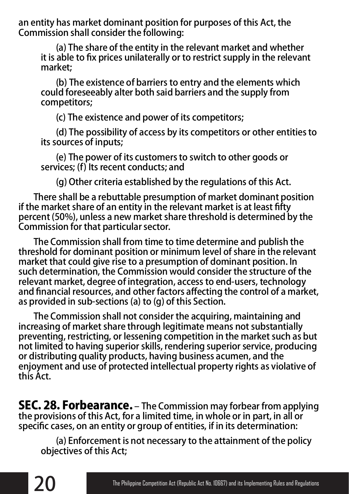an entity has market dominant position for purposes of this Act, the Commission shall consider the following:

(a) The share of the entity in the relevant market and whether it is able to fix prices unilaterally or to restrict supply in the relevant market;

(b) The existence of barriers to entry and the elements which could foreseeably alter both said barriers and the supply from competitors;

(c) The existence and power of its competitors;

(d) The possibility of access by its competitors or other entities to its sources of inputs;

(e) The power of its customers to switch to other goods or services; (f) Its recent conducts; and

(g) Other criteria established by the regulations of this Act.

There shall be a rebuttable presumption of market dominant position if the market share of an entity in the relevant market is at least fifty percent (50%), unless a new market share threshold is determined by the Commission for that particular sector.

The Commission shall from time to time determine and publish the threshold for dominant position or minimum level of share in the relevant market that could give rise to a presumption of dominant position. In such determination, the Commission would consider the structure of the relevant market, degree of integration, access to end-users, technology and financial resources, and other factors affecting the control of a market, as provided in sub-sections (a) to (g) of this Section.

The Commission shall not consider the acquiring, maintaining and increasing of market share through legitimate means not substantially preventing, restricting, or lessening competition in the market such as but not limited to having superior skills, rendering superior service, producing or distributing quality products, having business acumen, and the enjoyment and use of protected intellectual property rights as violative of this Act.

**SEC. 28. Forbearance.** – The Commission may forbear from applying the provisions of this Act, for a limited time, in whole or in part, in all or specific cases, on an entity or group of entities, if in its determination:

(a) Enforcement is not necessary to the attainment of the policy objectives of this Act;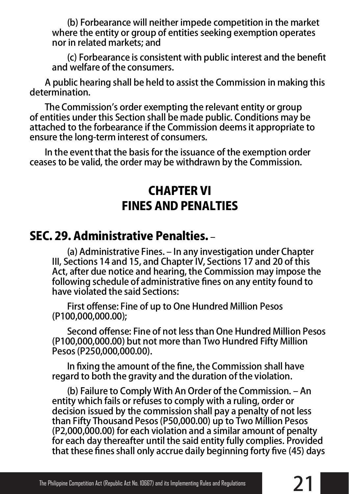(b) Forbearance will neither impede competition in the market where the entity or group of entities seeking exemption operates nor in related markets; and

(c) Forbearance is consistent with public interest and the benefit and welfare of the consumers.

A public hearing shall be held to assist the Commission in making this determination.

The Commission's order exempting the relevant entity or group of entities under this Section shall be made public. Conditions may be attached to the forbearance if the Commission deems it appropriate to ensure the long-term interest of consumers.

In the event that the basis for the issuance of the exemption order ceases to be valid, the order may be withdrawn by the Commission.

#### CHAPTER VI FINES AND PENALTIES

#### SEC. 29. Administrative Penalties. –

(a) Administrative Fines. – In any investigation under Chapter III, Sections 14 and 15, and Chapter IV, Sections 17 and 20 of this Act, after due notice and hearing, the Commission may impose the following schedule of administrative fines on any entity found to have violated the said Sections:

First offense: Fine of up to One Hundred Million Pesos (P100,000,000.00);

Second offense: Fine of not less than One Hundred Million Pesos (P100,000,000.00) but not more than Two Hundred Fifty Million Pesos (P250,000,000.00).

In fixing the amount of the fine, the Commission shall have regard to both the gravity and the duration of the violation.

(b) Failure to Comply With An Order of the Commission. – An entity which fails or refuses to comply with a ruling, order or decision issued by the commission shall pay a penalty of not less than Fifty Thousand Pesos (P50,000.00) up to Two Million Pesos (P2,000,000.00) for each violation and a similar amount of penalty for each day thereafter until the said entity fully complies. Provided that these fines shall only accrue daily beginning forty five (45) days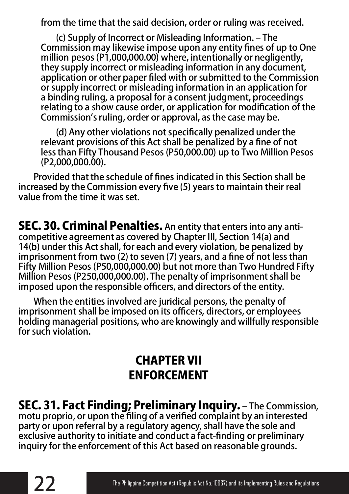from the time that the said decision, order or ruling was received.

(c) Supply of Incorrect or Misleading Information. – The Commission may likewise impose upon any entity fines of up to One million pesos (P1,000,000.00) where, intentionally or negligently, they supply incorrect or misleading information in any document, application or other paper filed with or submitted to the Commission or supply incorrect or misleading information in an application for a binding ruling, a proposal for a consent judgment, proceedings relating to a show cause order, or application for modification of the Commission's ruling, order or approval, as the case may be.

(d) Any other violations not specifically penalized under the relevant provisions of this Act shall be penalized by a fine of not less than Fifty Thousand Pesos (P50,000.00) up to Two Million Pesos (P2,000,000.00).

Provided that the schedule of fines indicated in this Section shall be increased by the Commission every five (5) years to maintain their real value from the time it was set.

SEC. 30. Criminal Penalties. An entity that enters into any anticompetitive agreement as covered by Chapter III, Section 14(a) and 14(b) under this Act shall, for each and every violation, be penalized by imprisonment from two (2) to seven (7) years, and a fine of not less than Fifty Million Pesos (P50,000,000.00) but not more than Two Hundred Fifty Million Pesos (P250,000,000.00). The penalty of imprisonment shall be imposed upon the responsible officers, and directors of the entity.

When the entities involved are juridical persons, the penalty of imprisonment shall be imposed on its officers, directors, or employees holding managerial positions, who are knowingly and willfully responsible for such violation.

# CHAPTER VII ENFORCEMENT

SEC. 31. Fact Finding; Preliminary Inquiry. – The Commission, motu proprio, or upon the filing of a verified complaint by an interested party or upon referral by a regulatory agency, shall have the sole and exclusive authority to initiate and conduct a fact-finding or preliminary inquiry for the enforcement of this Act based on reasonable grounds.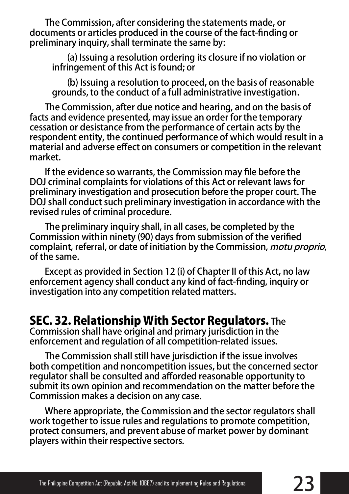The Commission, after considering the statements made, or documents or articles produced in the course of the fact-finding or preliminary inquiry, shall terminate the same by:

(a) Issuing a resolution ordering its closure if no violation or infringement of this Act is found; or

(b) Issuing a resolution to proceed, on the basis of reasonable grounds, to the conduct of a full administrative investigation.

The Commission, after due notice and hearing, and on the basis of facts and evidence presented, may issue an order for the temporary cessation or desistance from the performance of certain acts by the respondent entity, the continued performance of which would result in a material and adverse effect on consumers or competition in the relevant market.

If the evidence so warrants, the Commission may file before the DOJ criminal complaints for violations of this Act or relevant laws for preliminary investigation and prosecution before the proper court. The DOJ shall conduct such preliminary investigation in accordance with the revised rules of criminal procedure.

The preliminary inquiry shall, in all cases, be completed by the Commission within ninety (90) days from submission of the verified complaint, referral, or date of initiation by the Commission, motu proprio, of the same.

Except as provided in Section 12 (i) of Chapter II of this Act, no law enforcement agency shall conduct any kind of fact-finding, inquiry or investigation into any competition related matters.

SEC. 32. Relationship With Sector Regulators. The Commission shall have original and primary jurisdiction in the enforcement and regulation of all competition-related issues.

The Commission shall still have jurisdiction if the issue involves both competition and noncompetition issues, but the concerned sector regulator shall be consulted and afforded reasonable opportunity to submit its own opinion and recommendation on the matter before the Commission makes a decision on any case.

Where appropriate, the Commission and the sector regulators shall work together to issue rules and regulations to promote competition, protect consumers, and prevent abuse of market power by dominant players within their respective sectors.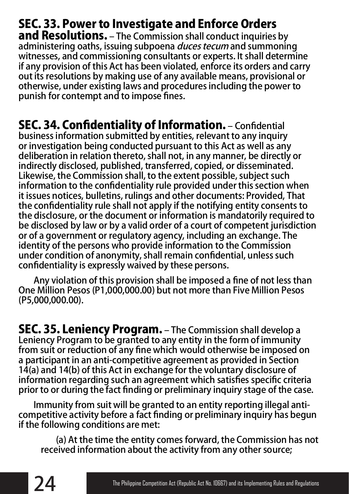# SEC. 33. Power to Investigate and Enforce Orders

and Resolutions. – The Commission shall conduct inquiries by administering oaths, issuing subpoena *duces tecum* and summoning witnesses, and commissioning consultants or experts. It shall determine if any provision of this Act has been violated, enforce its orders and carry out its resolutions by making use of any available means, provisional or otherwise, under existing laws and procedures including the power to punish for contempt and to impose fines.

SEC. 34. Confidentiality of Information. – Confidential business information submitted by entities, relevant to any inquiry or investigation being conducted pursuant to this Act as well as any deliberation in relation thereto, shall not, in any manner, be directly or indirectly disclosed, published, transferred, copied, or disseminated. Likewise, the Commission shall, to the extent possible, subject such information to the confidentiality rule provided under this section when it issues notices, bulletins, rulings and other documents: Provided, That the confidentiality rule shall not apply if the notifying entity consents to the disclosure, or the document or information is mandatorily required to be disclosed by law or by a valid order of a court of competent jurisdiction or of a government or regulatory agency, including an exchange. The identity of the persons who provide information to the Commission under condition of anonymity, shall remain confidential, unless such confidentiality is expressly waived by these persons.

Any violation of this provision shall be imposed a fine of not less than One Million Pesos (P1,000,000.00) but not more than Five Million Pesos (P5,000,000.00).

**SEC. 35. Leniency Program.** – The Commission shall develop a Leniency Program to be granted to any entity in the form of immunity from suit or reduction of any fine which would otherwise be imposed on a participant in an anti-competitive agreement as provided in Section 14(a) and 14(b) of this Act in exchange for the voluntary disclosure of information regarding such an agreement which satisfies specific criteria prior to or during the fact finding or preliminary inquiry stage of the case.

Immunity from suit will be granted to an entity reporting illegal anticompetitive activity before a fact finding or preliminary inquiry has begun if the following conditions are met:

(a) At the time the entity comes forward, the Commission has not received information about the activity from any other source;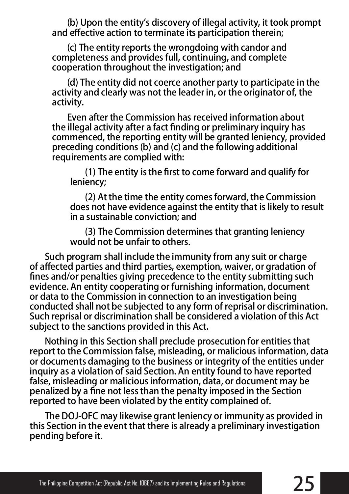(b) Upon the entity's discovery of illegal activity, it took prompt and effective action to terminate its participation therein;

(c) The entity reports the wrongdoing with candor and completeness and provides full, continuing, and complete cooperation throughout the investigation; and

(d) The entity did not coerce another party to participate in the activity and clearly was not the leader in, or the originator of, the activity.

Even after the Commission has received information about the illegal activity after a fact finding or preliminary inquiry has commenced, the reporting entity will be granted leniency, provided preceding conditions (b) and (c) and the following additional requirements are complied with:

(1) The entity is the first to come forward and qualify for leniency;

(2) At the time the entity comes forward, the Commission does not have evidence against the entity that is likely to result in a sustainable conviction; and

(3) The Commission determines that granting leniency would not be unfair to others.

Such program shall include the immunity from any suit or charge of affected parties and third parties, exemption, waiver, or gradation of fines and/or penalties giving precedence to the entity submitting such evidence. An entity cooperating or furnishing information, document or data to the Commission in connection to an investigation being conducted shall not be subjected to any form of reprisal or discrimination. Such reprisal or discrimination shall be considered a violation of this Act subject to the sanctions provided in this Act.

Nothing in this Section shall preclude prosecution for entities that report to the Commission false, misleading, or malicious information, data or documents damaging to the business or integrity of the entities under inquiry as a violation of said Section. An entity found to have reported false, misleading or malicious information, data, or document may be penalized by a fine not less than the penalty imposed in the Section reported to have been violated by the entity complained of.

The DOJ-OFC may likewise grant leniency or immunity as provided in this Section in the event that there is already a preliminary investigation pending before it.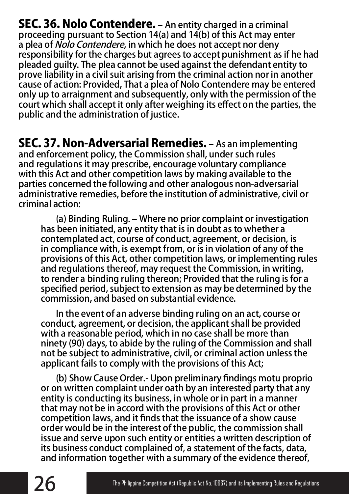SEC. 36. Nolo Contendere. – An entity charged in a criminal proceeding pursuant to Section 14(a) and 14(b) of this Act may enter a plea of Nolo Contendere, in which he does not accept nor deny responsibility for the charges but agrees to accept punishment as if he had pleaded guilty. The plea cannot be used against the defendant entity to prove liability in a civil suit arising from the criminal action nor in another cause of action: Provided, That a plea of Nolo Contendere may be entered only up to arraignment and subsequently, only with the permission of the court which shall accept it only after weighing its effect on the parties, the public and the administration of justice.

SEC. 37. Non-Adversarial Remedies. – As an implementing and enforcement policy, the Commission shall, under such rules and regulations it may prescribe, encourage voluntary compliance with this Act and other competition laws by making available to the parties concerned the following and other analogous non-adversarial administrative remedies, before the institution of administrative, civil or criminal action:

(a) Binding Ruling. – Where no prior complaint or investigation has been initiated, any entity that is in doubt as to whether a contemplated act, course of conduct, agreement, or decision, is in compliance with, is exempt from, or is in violation of any of the provisions of this Act, other competition laws, or implementing rules and regulations thereof, may request the Commission, in writing, to render a binding ruling thereon; Provided that the ruling is for a specified period, subject to extension as may be determined by the commission, and based on substantial evidence.

In the event of an adverse binding ruling on an act, course or conduct, agreement, or decision, the applicant shall be provided with a reasonable period, which in no case shall be more than ninety (90) days, to abide by the ruling of the Commission and shall not be subject to administrative, civil, or criminal action unless the applicant fails to comply with the provisions of this Act;

(b) Show Cause Order.- Upon preliminary findings motu proprio or on written complaint under oath by an interested party that any entity is conducting its business, in whole or in part in a manner that may not be in accord with the provisions of this Act or other competition laws, and it finds that the issuance of a show cause order would be in the interest of the public, the commission shall issue and serve upon such entity or entities a written description of its business conduct complained of, a statement of the facts, data, and information together with a summary of the evidence thereof,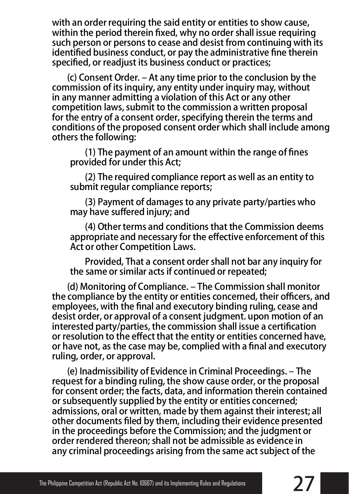with an order requiring the said entity or entities to show cause, within the period therein fixed, why no order shall issue requiring such person or persons to cease and desist from continuing with its identified business conduct, or pay the administrative fine therein specified, or readjust its business conduct or practices;

(c) Consent Order. – At any time prior to the conclusion by the commission of its inquiry, any entity under inquiry may, without in any manner admitting a violation of this Act or any other competition laws, submit to the commission a written proposal for the entry of a consent order, specifying therein the terms and conditions of the proposed consent order which shall include among others the following:

(1) The payment of an amount within the range of fines provided for under this Act;

(2) The required compliance report as well as an entity to submit regular compliance reports;

(3) Payment of damages to any private party/parties who may have suffered injury; and

(4) Other terms and conditions that the Commission deems appropriate and necessary for the effective enforcement of this Act or other Competition Laws.

Provided, That a consent order shall not bar any inquiry for the same or similar acts if continued or repeated;

(d) Monitoring of Compliance. – The Commission shall monitor the compliance by the entity or entities concerned, their officers, and employees, with the final and executory binding ruling, cease and desist order, or approval of a consent judgment. upon motion of an interested party/parties, the commission shall issue a certification or resolution to the effect that the entity or entities concerned have, or have not, as the case may be, complied with a final and executory ruling, order, or approval.

(e) Inadmissibility of Evidence in Criminal Proceedings. – The request for a binding ruling, the show cause order, or the proposal for consent order; the facts, data, and information therein contained or subsequently supplied by the entity or entities concerned; admissions, oral or written, made by them against their interest; all other documents filed by them, including their evidence presented in the proceedings before the Commission; and the judgment or order rendered thereon; shall not be admissible as evidence in any criminal proceedings arising from the same act subject of the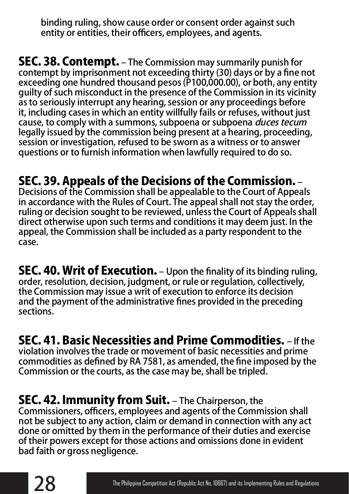binding ruling, show cause order or consent order against such entity or entities, their officers, employees, and agents.

**SEC. 38. Contempt.** – The Commission may summarily punish for contempt by imprisonment not exceeding thirty (30) days or by a fine not exceeding one hundred thousand pesos (P100,000.00), or both, any entity guilty of such misconduct in the presence of the Commission in its vicinity as to seriously interrupt any hearing, session or any proceedings before it, including cases in which an entity willfully fails or refuses, without just cause, to comply with a summons, subpoena or subpoena *duces tecum* legally issued by the commission being present at a hearing, proceeding, session or investigation, refused to be sworn as a witness or to answer questions or to furnish information when lawfully required to do so.

# SEC. 39. Appeals of the Decisions of the Commission. –

Decisions of the Commission shall be appealable to the Court of Appeals in accordance with the Rules of Court. The appeal shall not stay the order, ruling or decision sought to be reviewed, unless the Court of Appeals shall direct otherwise upon such terms and conditions it may deem just. In the appeal, the Commission shall be included as a party respondent to the case.

SEC. 40. Writ of Execution. – Upon the finality of its binding ruling, order, resolution, decision, judgment, or rule or regulation, collectively, the Commission may issue a writ of execution to enforce its decision and the payment of the administrative fines provided in the preceding sections.

SEC. 41. Basic Necessities and Prime Commodities. – If the violation involves the trade or movement of basic necessities and prime commodities as defined by RA 7581, as amended, the fine imposed by the Commission or the courts, as the case may be, shall be tripled.

SEC. 42. Immunity from Suit. - The Chairperson, the Commissioners, officers, employees and agents of the Commission shall not be subject to any action, claim or demand in connection with any act done or omitted by them in the performance of their duties and exercise of their powers except for those actions and omissions done in evident bad faith or gross negligence.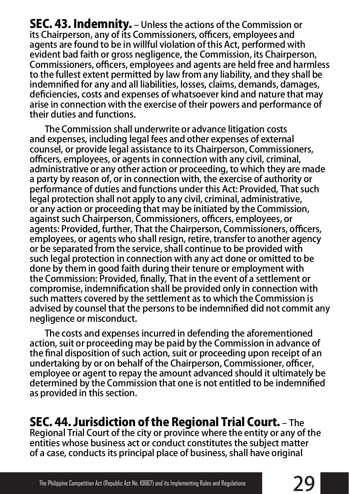**SEC. 43. Indemnity.** – Unless the actions of the Commission or its Chairperson, any of its Commissioners, officers, employees and agents are found to be in willful violation of this Act, performed with evident bad faith or gross negligence, the Commission, its Chairperson, Commissioners, officers, employees and agents are held free and harmless to the fullest extent permitted by law from any liability, and they shall be indemnified for any and all liabilities, losses, claims, demands, damages, deficiencies, costs and expenses of whatsoever kind and nature that may arise in connection with the exercise of their powers and performance of their duties and functions.

The Commission shall underwrite or advance litigation costs and expenses, including legal fees and other expenses of external counsel, or provide legal assistance to its Chairperson, Commissioners, officers, employees, or agents in connection with any civil, criminal, administrative or any other action or proceeding, to which they are made a party by reason of, or in connection with, the exercise of authority or performance of duties and functions under this Act: Provided, That such legal protection shall not apply to any civil, criminal, administrative, or any action or proceeding that may be initiated by the Commission, against such Chairperson, Commissioners, officers, employees, or agents: Provided, further, That the Chairperson, Commissioners, officers, employees, or agents who shall resign, retire, transfer to another agency or be separated from the service, shall continue to be provided with such legal protection in connection with any act done or omitted to be done by them in good faith during their tenure or employment with the Commission: Provided, finally, That in the event of a settlement or compromise, indemnification shall be provided only in connection with such matters covered by the settlement as to which the Commission is advised by counsel that the persons to be indemnified did not commit any negligence or misconduct.

The costs and expenses incurred in defending the aforementioned action, suit or proceeding may be paid by the Commission in advance of the final disposition of such action, suit or proceeding upon receipt of an undertaking by or on behalf of the Chairperson, Commissioner, officer, employee or agent to repay the amount advanced should it ultimately be determined by the Commission that one is not entitled to be indemnified as provided in this section.

SEC. 44. Jurisdiction of the Regional Trial Court. – The Regional Trial Court of the city or province where the entity or any of the entities whose business act or conduct constitutes the subject matter of a case, conducts its principal place of business, shall have original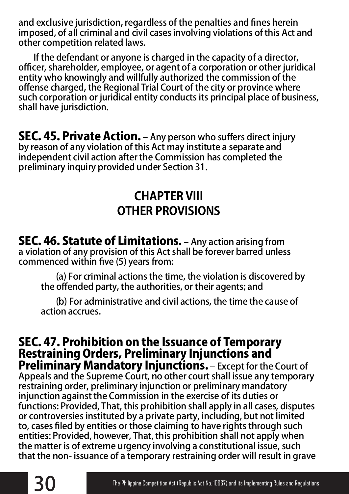and exclusive jurisdiction, regardless of the penalties and fines herein imposed, of all criminal and civil cases involving violations of this Act and other competition related laws.

If the defendant or anyone is charged in the capacity of a director, officer, shareholder, employee, or agent of a corporation or other juridical entity who knowingly and willfully authorized the commission of the offense charged, the Regional Trial Court of the city or province where such corporation or juridical entity conducts its principal place of business, shall have jurisdiction.

SEC. 45. Private Action. - Any person who suffers direct injury by reason of any violation of this Act may institute a separate and independent civil action after the Commission has completed the preliminary inquiry provided under Section 31.

#### **CHAPTER VIII OTHER PROVISIONS**

SEC. 46. Statute of Limitations. – Any action arising from a violation of any provision of this Act shall be forever barred unless commenced within five (5) years from:

(a) For criminal actions the time, the violation is discovered by the offended party, the authorities, or their agents; and

(b) For administrative and civil actions, the time the cause of action accrues.

SEC. 47. Prohibition on the Issuance of Temporary Restraining Orders, Preliminary Injunctions and **Preliminary Mandatory Injunctions.** – Except for the Court of Appeals and the Supreme Court, no other court shall issue any temporary restraining order, preliminary injunction or preliminary mandatory injunction against the Commission in the exercise of its duties or functions: Provided, That, this prohibition shall apply in all cases, disputes or controversies instituted by a private party, including, but not limited to, cases filed by entities or those claiming to have rights through such entities: Provided, however, That, this prohibition shall not apply when the matter is of extreme urgency involving a constitutional issue, such that the non- issuance of a temporary restraining order will result in grave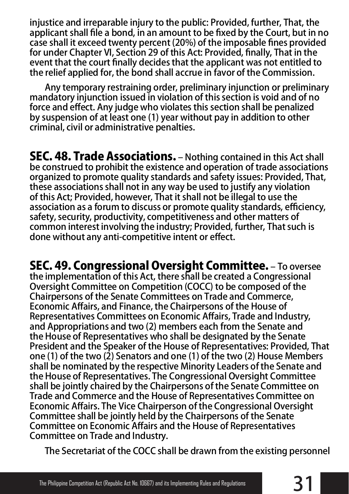injustice and irreparable injury to the public: Provided, further, That, the applicant shall file a bond, in an amount to be fixed by the Court, but in no case shall it exceed twenty percent (20%) of the imposable fines provided for under Chapter VI, Section 29 of this Act: Provided, finally, That in the event that the court finally decides that the applicant was not entitled to the relief applied for, the bond shall accrue in favor of the Commission.

Any temporary restraining order, preliminary injunction or preliminary mandatory injunction issued in violation of this section is void and of no force and effect. Any judge who violates this section shall be penalized by suspension of at least one (1) year without pay in addition to other criminal, civil or administrative penalties.

SEC. 48. Trade Associations. - Nothing contained in this Act shall be construed to prohibit the existence and operation of trade associations organized to promote quality standards and safety issues: Provided, That, these associations shall not in any way be used to justify any violation of this Act; Provided, however, That it shall not be illegal to use the association as a forum to discuss or promote quality standards, efficiency, safety, security, productivity, competitiveness and other matters of common interest involving the industry; Provided, further, That such is done without any anti-competitive intent or effect.

SEC. 49. Congressional Oversight Committee. – To oversee the implementation of this Act, there shall be created a Congressional Oversight Committee on Competition (COCC) to be composed of the Chairpersons of the Senate Committees on Trade and Commerce, Economic Affairs, and Finance, the Chairpersons of the House of Representatives Committees on Economic Affairs, Trade and Industry, and Appropriations and two (2) members each from the Senate and the House of Representatives who shall be designated by the Senate President and the Speaker of the House of Representatives: Provided, That one (1) of the two (2) Senators and one (1) of the two (2) House Members shall be nominated by the respective Minority Leaders of the Senate and the House of Representatives. The Congressional Oversight Committee shall be jointly chaired by the Chairpersons of the Senate Committee on Trade and Commerce and the House of Representatives Committee on Economic Affairs. The Vice Chairperson of the Congressional Oversight Committee shall be jointly held by the Chairpersons of the Senate Committee on Economic Affairs and the House of Representatives Committee on Trade and Industry.

The Secretariat of the COCC shall be drawn from the existing personnel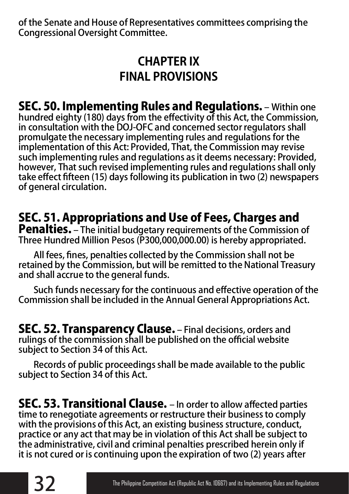of the Senate and House of Representatives committees comprising the Congressional Oversight Committee.

# **CHAPTER IX FINAL PROVISIONS**

SEC. 50. Implementing Rules and Regulations. – Within one hundred eighty (180) days from the effectivity of this Act, the Commission, in consultation with the DOJ-OFC and concerned sector regulators shall promulgate the necessary implementing rules and regulations for the implementation of this Act: Provided, That, the Commission may revise such implementing rules and regulations as it deems necessary: Provided, however, That such revised implementing rules and regulations shall only take effect fifteen (15) days following its publication in two (2) newspapers of general circulation.

#### SEC. 51. Appropriations and Use of Fees, Charges and

**Penalties.** – The initial budgetary requirements of the Commission of Three Hundred Million Pesos (P300,000,000.00) is hereby appropriated.

All fees, fines, penalties collected by the Commission shall not be retained by the Commission, but will be remitted to the National Treasury and shall accrue to the general funds.

Such funds necessary for the continuous and effective operation of the Commission shall be included in the Annual General Appropriations Act.

SEC. 52. Transparency Clause. – Final decisions, orders and rulings of the commission shall be published on the official website subject to Section 34 of this Act.

Records of public proceedings shall be made available to the public subject to Section 34 of this Act.

SEC. 53. Transitional Clause. - In order to allow affected parties time to renegotiate agreements or restructure their business to comply with the provisions of this Act, an existing business structure, conduct, practice or any act that may be in violation of this Act shall be subject to the administrative, civil and criminal penalties prescribed herein only if it is not cured or is continuing upon the expiration of two (2) years after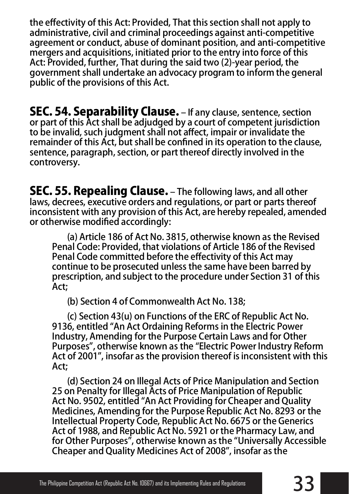the effectivity of this Act: Provided, That this section shall not apply to administrative, civil and criminal proceedings against anti-competitive agreement or conduct, abuse of dominant position, and anti-competitive mergers and acquisitions, initiated prior to the entry into force of this Act: Provided, further, That during the said two (2)-year period, the government shall undertake an advocacy program to inform the general public of the provisions of this Act.

SEC. 54. Separability Clause. – If any clause, sentence, section or part of this Act shall be adjudged by a court of competent jurisdiction to be invalid, such judgment shall not affect, impair or invalidate the remainder of this Act, but shall be confined in its operation to the clause, sentence, paragraph, section, or part thereof directly involved in the controversy.

SEC. 55. Repealing Clause. – The following laws, and all other laws, decrees, executive orders and regulations, or part or parts thereof inconsistent with any provision of this Act, are hereby repealed, amended or otherwise modified accordingly:

(a) Article 186 of Act No. 3815, otherwise known as the Revised Penal Code: Provided, that violations of Article 186 of the Revised Penal Code committed before the effectivity of this Act may continue to be prosecuted unless the same have been barred by prescription, and subject to the procedure under Section 31 of this Act;

(b) Section 4 of Commonwealth Act No. 138;

(c) Section 43(u) on Functions of the ERC of Republic Act No. 9136, entitled "An Act Ordaining Reforms in the Electric Power Industry, Amending for the Purpose Certain Laws and for Other Purposes", otherwise known as the "Electric Power Industry Reform Act of 2001", insofar as the provision thereof is inconsistent with this Act;

(d) Section 24 on Illegal Acts of Price Manipulation and Section 25 on Penalty for Illegal Acts of Price Manipulation of Republic Act No. 9502, entitled "An Act Providing for Cheaper and Quality Medicines, Amending for the Purpose Republic Act No. 8293 or the Intellectual Property Code, Republic Act No. 6675 or the Generics Act of 1988, and Republic Act No. 5921 or the Pharmacy Law, and for Other Purposes", otherwise known as the "Universally Accessible Cheaper and Quality Medicines Act of 2008", insofar as the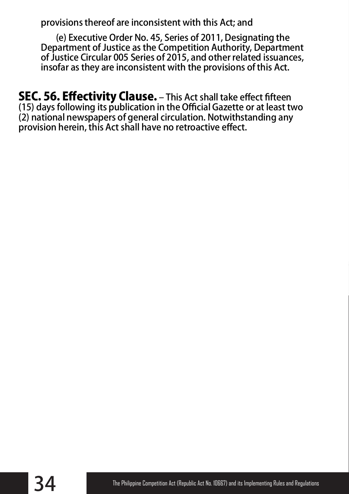provisions thereof are inconsistent with this Act; and

(e) Executive Order No. 45, Series of 2011, Designating the Department of Justice as the Competition Authority, Department of Justice Circular 005 Series of 2015, and other related issuances, insofar as they are inconsistent with the provisions of this Act.

SEC. 56. Effectivity Clause. - This Act shall take effect fifteen (15) days following its publication in the Official Gazette or at least two (2) national newspapers of general circulation. Notwithstanding any provision herein, this Act shall have no retroactive effect.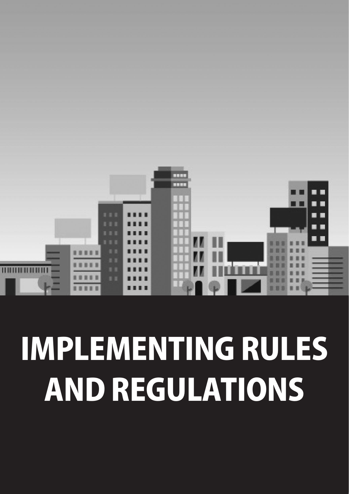# IMPLEMENTING RULES AND REGULATIONS

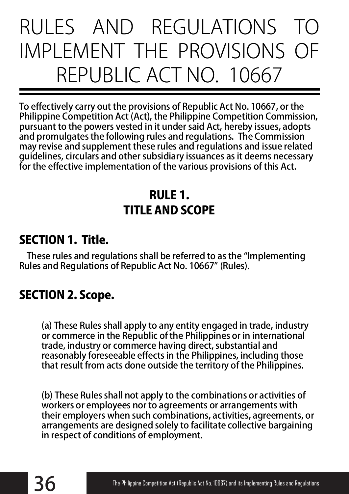# RULES AND REGULATIONS TO IMPLEMENT THE PROVISIONS OF REPUBLIC ACT NO. 10667

To effectively carry out the provisions of Republic Act No. 10667, or the Philippine Competition Act (Act), the Philippine Competition Commission, pursuant to the powers vested in it under said Act, hereby issues, adopts and promulgates the following rules and regulations. The Commission may revise and supplement these rules and regulations and issue related guidelines, circulars and other subsidiary issuances as it deems necessary for the effective implementation of the various provisions of this Act.

# RULE 1. TITLE AND SCOPE

# SECTION 1. Title.

These rules and regulations shall be referred to as the "Implementing Rules and Regulations of Republic Act No. 10667" (Rules).

#### SECTION 2. Scope.

(a) These Rules shall apply to any entity engaged in trade, industry or commerce in the Republic of the Philippines or in international trade, industry or commerce having direct, substantial and reasonably foreseeable effects in the Philippines, including those that result from acts done outside the territory of the Philippines.

(b) These Rules shall not apply to the combinations or activities of workers or employees nor to agreements or arrangements with their employers when such combinations, activities, agreements, or arrangements are designed solely to facilitate collective bargaining in respect of conditions of employment.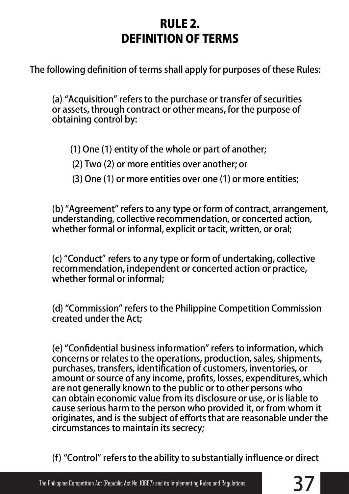### RULE 2. DEFINITION OF TERMS

The following definition of terms shall apply for purposes of these Rules:

(a) "Acquisition" refers to the purchase or transfer of securities or assets, through contract or other means, for the purpose of obtaining control by:

(1) One (1) entity of the whole or part of another;

(2) Two (2) or more entities over another; or

(3) One (1) or more entities over one (1) or more entities;

(b) "Agreement" refers to any type or form of contract, arrangement, understanding, collective recommendation, or concerted action, whether formal or informal, explicit or tacit, written, or oral;

(c) "Conduct" refers to any type or form of undertaking, collective recommendation, independent or concerted action or practice, whether formal or informal;

(d) "Commission" refers to the Philippine Competition Commission created under the Act;

(e) "Confidential business information" refers to information, which concerns or relates to the operations, production, sales, shipments, purchases, transfers, identification of customers, inventories, or amount or source of any income, profits, losses, expenditures, which are not generally known to the public or to other persons who can obtain economic value from its disclosure or use, or is liable to cause serious harm to the person who provided it, or from whom it originates, and is the subject of efforts that are reasonable under the circumstances to maintain its secrecy;

(f) "Control" refers to the ability to substantially influence or direct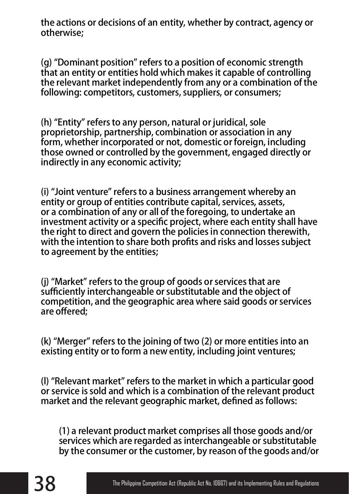the actions or decisions of an entity, whether by contract, agency or otherwise;

(g) "Dominant position" refers to a position of economic strength that an entity or entities hold which makes it capable of controlling the relevant market independently from any or a combination of the following: competitors, customers, suppliers, or consumers;

(h) "Entity" refers to any person, natural or juridical, sole proprietorship, partnership, combination or association in any form, whether incorporated or not, domestic or foreign, including those owned or controlled by the government, engaged directly or indirectly in any economic activity;

(i) "Joint venture" refers to a business arrangement whereby an entity or group of entities contribute capital, services, assets, or a combination of any or all of the foregoing, to undertake an investment activity or a specific project, where each entity shall have the right to direct and govern the policies in connection therewith, with the intention to share both profits and risks and losses subject to agreement by the entities;

(j) "Market" refers to the group of goods or services that are sufficiently interchangeable or substitutable and the object of competition, and the geographic area where said goods or services are offered;

(k) "Merger" refers to the joining of two (2) or more entities into an existing entity or to form a new entity, including joint ventures;

(l) "Relevant market" refers to the market in which a particular good or service is sold and which is a combination of the relevant product market and the relevant geographic market, defined as follows:

(1) a relevant product market comprises all those goods and/or services which are regarded as interchangeable or substitutable by the consumer or the customer, by reason of the goods and/or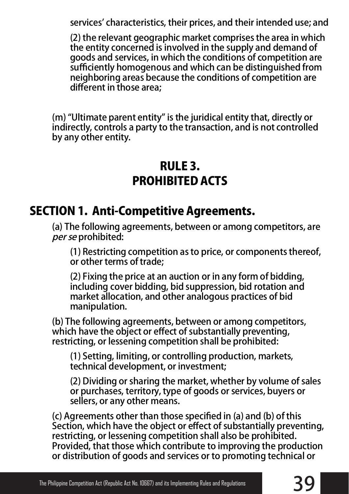services' characteristics, their prices, and their intended use; and

(2) the relevant geographic market comprises the area in which the entity concerned is involved in the supply and demand of goods and services, in which the conditions of competition are sufficiently homogenous and which can be distinguished from neighboring areas because the conditions of competition are different in those area;

(m) "Ultimate parent entity" is the juridical entity that, directly or indirectly, controls a party to the transaction, and is not controlled by any other entity.

#### RULE 3. PROHIBITED ACTS

#### SECTION 1. Anti-Competitive Agreements.

(a) The following agreements, between or among competitors, are per se prohibited:

(1) Restricting competition as to price, or components thereof, or other terms of trade;

(2) Fixing the price at an auction or in any form of bidding, including cover bidding, bid suppression, bid rotation and market allocation, and other analogous practices of bid manipulation.

(b) The following agreements, between or among competitors, which have the object or effect of substantially preventing, restricting, or lessening competition shall be prohibited:

(1) Setting, limiting, or controlling production, markets, technical development, or investment;

(2) Dividing or sharing the market, whether by volume of sales or purchases, territory, type of goods or services, buyers or sellers, or any other means.

(c) Agreements other than those specified in (a) and (b) of this Section, which have the object or effect of substantially preventing, restricting, or lessening competition shall also be prohibited. Provided, that those which contribute to improving the production or distribution of goods and services or to promoting technical or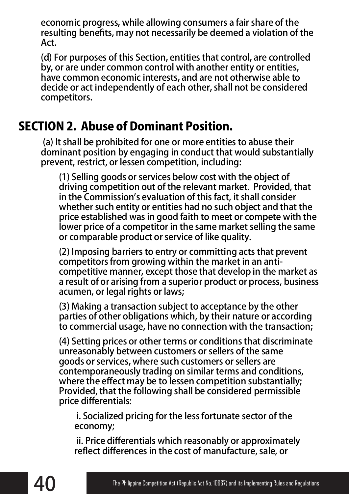economic progress, while allowing consumers a fair share of the resulting benefits, may not necessarily be deemed a violation of the Act.

(d) For purposes of this Section, entities that control, are controlled by, or are under common control with another entity or entities, have common economic interests, and are not otherwise able to decide or act independently of each other, shall not be considered competitors.

#### SECTION 2. Abuse of Dominant Position.

 (a) It shall be prohibited for one or more entities to abuse their dominant position by engaging in conduct that would substantially prevent, restrict, or lessen competition, including:

(1) Selling goods or services below cost with the object of driving competition out of the relevant market. Provided, that in the Commission's evaluation of this fact, it shall consider whether such entity or entities had no such object and that the price established was in good faith to meet or compete with the lower price of a competitor in the same market selling the same or comparable product or service of like quality.

(2) Imposing barriers to entry or committing acts that prevent competitors from growing within the market in an anticompetitive manner, except those that develop in the market as a result of or arising from a superior product or process, business acumen, or legal rights or laws;

(3) Making a transaction subject to acceptance by the other parties of other obligations which, by their nature or according to commercial usage, have no connection with the transaction;

(4) Setting prices or other terms or conditions that discriminate unreasonably between customers or sellers of the same goods or services, where such customers or sellers are contemporaneously trading on similar terms and conditions, where the effect may be to lessen competition substantially; Provided, that the following shall be considered permissible price differentials:

 i. Socialized pricing for the less fortunate sector of the economy;

 ii. Price differentials which reasonably or approximately reflect differences in the cost of manufacture, sale, or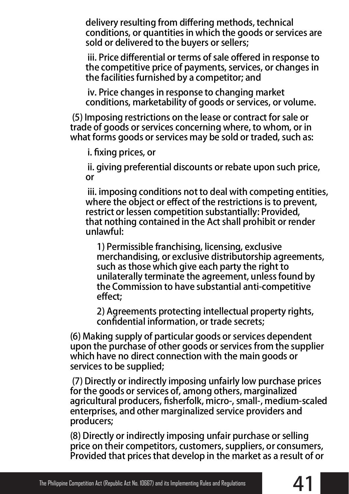delivery resulting from differing methods, technical conditions, or quantities in which the goods or services are sold or delivered to the buyers or sellers;

 iii. Price differential or terms of sale offered in response to the competitive price of payments, services, or changes in the facilities furnished by a competitor; and

 iv. Price changes in response to changing market conditions, marketability of goods or services, or volume.

 (5) Imposing restrictions on the lease or contract for sale or trade of goods or services concerning where, to whom, or in what forms goods or services may be sold or traded, such as:

i. fixing prices, or

 ii. giving preferential discounts or rebate upon such price, or

 iii. imposing conditions not to deal with competing entities, where the object or effect of the restrictions is to prevent, restrict or lessen competition substantially: Provided, that nothing contained in the Act shall prohibit or render unlawful:

1) Permissible franchising, licensing, exclusive merchandising, or exclusive distributorship agreements, such as those which give each party the right to unilaterally terminate the agreement, unless found by the Commission to have substantial anti-competitive effect;

2) Agreements protecting intellectual property rights, confidential information, or trade secrets;

(6) Making supply of particular goods or services dependent upon the purchase of other goods or services from the supplier which have no direct connection with the main goods or services to be supplied;

 (7) Directly or indirectly imposing unfairly low purchase prices for the goods or services of, among others, marginalized agricultural producers, fisherfolk, micro-, small-, medium-scaled enterprises, and other marginalized service providers and producers;

(8) Directly or indirectly imposing unfair purchase or selling price on their competitors, customers, suppliers, or consumers, Provided that prices that develop in the market as a result of or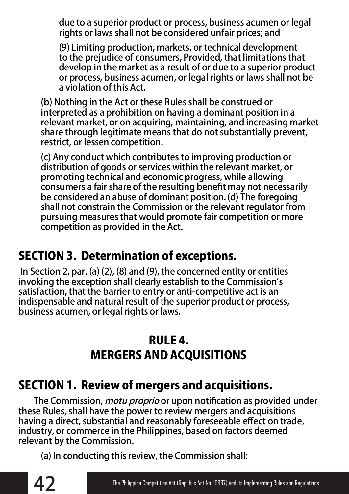due to a superior product or process, business acumen or legal rights or laws shall not be considered unfair prices; and

(9) Limiting production, markets, or technical development to the prejudice of consumers, Provided, that limitations that develop in the market as a result of or due to a superior product or process, business acumen, or legal rights or laws shall not be a violation of this Act.

(b) Nothing in the Act or these Rules shall be construed or interpreted as a prohibition on having a dominant position in a relevant market, or on acquiring, maintaining, and increasing market share through legitimate means that do not substantially prevent, restrict, or lessen competition.

(c) Any conduct which contributes to improving production or distribution of goods or services within the relevant market, or promoting technical and economic progress, while allowing consumers a fair share of the resulting benefit may not necessarily be considered an abuse of dominant position.(d) The foregoing shall not constrain the Commission or the relevant regulator from pursuing measures that would promote fair competition or more competition as provided in the Act.

#### SECTION 3. Determination of exceptions.

 In Section 2, par. (a) (2), (8) and (9), the concerned entity or entities invoking the exception shall clearly establish to the Commission's satisfaction, that the barrier to entry or anti-competitive act is an indispensable and natural result of the superior product or process, business acumen, or legal rights or laws.

#### RULE 4. MERGERS AND ACQUISITIONS

#### SECTION 1. Review of mergers and acquisitions.

The Commission, *motu proprio* or upon notification as provided under these Rules, shall have the power to review mergers and acquisitions having a direct, substantial and reasonably foreseeable effect on trade, industry, or commerce in the Philippines, based on factors deemed relevant by the Commission.

(a) In conducting this review, the Commission shall: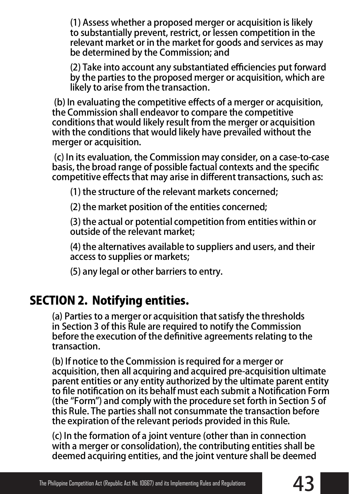(1) Assess whether a proposed merger or acquisition is likely to substantially prevent, restrict, or lessen competition in the relevant market or in the market for goods and services as may be determined by the Commission; and

(2) Take into account any substantiated efficiencies put forward by the parties to the proposed merger or acquisition, which are likely to arise from the transaction.

 (b) In evaluating the competitive effects of a merger or acquisition, the Commission shall endeavor to compare the competitive conditions that would likely result from the merger or acquisition with the conditions that would likely have prevailed without the merger or acquisition.

 (c) In its evaluation, the Commission may consider, on a case-to-case basis, the broad range of possible factual contexts and the specific competitive effects that may arise in different transactions, such as:

(1) the structure of the relevant markets concerned;

(2) the market position of the entities concerned;

(3) the actual or potential competition from entities within or outside of the relevant market;

(4) the alternatives available to suppliers and users, and their access to supplies or markets;

(5) any legal or other barriers to entry.

#### SECTION 2. Notifying entities.

(a) Parties to a merger or acquisition that satisfy the thresholds in Section 3 of this Rule are required to notify the Commission before the execution of the definitive agreements relating to the transaction.

(b) If notice to the Commission is required for a merger or acquisition, then all acquiring and acquired pre-acquisition ultimate parent entities or any entity authorized by the ultimate parent entity to file notification on its behalf must each submit a Notification Form (the "Form") and comply with the procedure set forth in Section 5 of this Rule. The parties shall not consummate the transaction before the expiration of the relevant periods provided in this Rule.

(c) In the formation of a joint venture (other than in connection with a merger or consolidation), the contributing entities shall be deemed acquiring entities, and the joint venture shall be deemed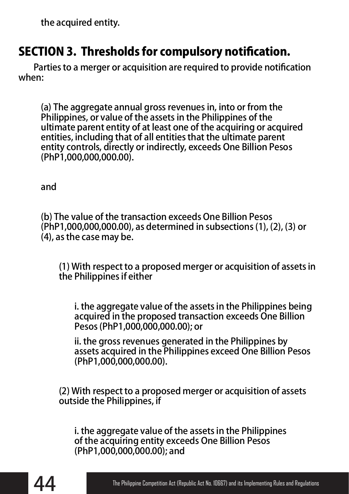the acquired entity.

#### SECTION 3. Thresholds for compulsory notification.

Parties to a merger or acquisition are required to provide notification when:

(a) The aggregate annual gross revenues in, into or from the Philippines, or value of the assets in the Philippines of the ultimate parent entity of at least one of the acquiring or acquired entities, including that of all entities that the ultimate parent entity controls, directly or indirectly, exceeds One Billion Pesos (PhP1,000,000,000.00).

and

(b) The value of the transaction exceeds One Billion Pesos (PhP1,000,000,000.00), as determined in subsections (1), (2), (3) or (4), as the case may be.

(1) With respect to a proposed merger or acquisition of assets in the Philippines if either

i. the aggregate value of the assets in the Philippines being acquired in the proposed transaction exceeds One Billion Pesos (PhP1,000,000,000.00); or

ii. the gross revenues generated in the Philippines by assets acquired in the Philippines exceed One Billion Pesos (PhP1,000,000,000.00).

(2) With respect to a proposed merger or acquisition of assets outside the Philippines, if

i. the aggregate value of the assets in the Philippines of the acquiring entity exceeds One Billion Pesos (PhP1,000,000,000.00); and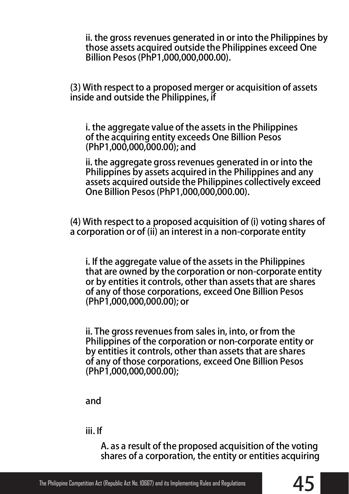ii. the gross revenues generated in or into the Philippines by those assets acquired outside the Philippines exceed One Billion Pesos (PhP1,000,000,000.00).

(3) With respect to a proposed merger or acquisition of assets inside and outside the Philippines, if

i. the aggregate value of the assets in the Philippines of the acquiring entity exceeds One Billion Pesos (PhP1,000,000,000.00); and

ii. the aggregate gross revenues generated in or into the Philippines by assets acquired in the Philippines and any assets acquired outside the Philippines collectively exceed One Billion Pesos (PhP1,000,000,000.00).

(4) With respect to a proposed acquisition of (i) voting shares of a corporation or of (ii) an interest in a non-corporate entity

i. If the aggregate value of the assets in the Philippines that are owned by the corporation or non-corporate entity or by entities it controls, other than assets that are shares of any of those corporations, exceed One Billion Pesos (PhP1,000,000,000.00); or

ii. The gross revenues from sales in, into, or from the Philippines of the corporation or non-corporate entity or by entities it controls, other than assets that are shares of any of those corporations, exceed One Billion Pesos (PhP1,000,000,000.00);

and

iii. If

A. as a result of the proposed acquisition of the voting shares of a corporation, the entity or entities acquiring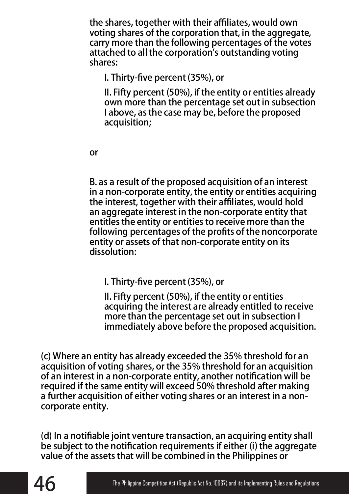the shares, together with their affiliates, would own voting shares of the corporation that, in the aggregate, carry more than the following percentages of the votes attached to all the corporation's outstanding voting shares:

I. Thirty-five percent (35%), or

II. Fifty percent (50%), if the entity or entities already own more than the percentage set out in subsection I above, as the case may be, before the proposed acquisition;

or

B. as a result of the proposed acquisition of an interest in a non-corporate entity, the entity or entities acquiring the interest, together with their affiliates, would hold an aggregate interest in the non-corporate entity that entitles the entity or entities to receive more than the following percentages of the profits of the noncorporate entity or assets of that non-corporate entity on its dissolution:

I. Thirty-five percent (35%), or

II. Fifty percent (50%), if the entity or entities acquiring the interest are already entitled to receive more than the percentage set out in subsection I immediately above before the proposed acquisition.

(c) Where an entity has already exceeded the 35% threshold for an acquisition of voting shares, or the 35% threshold for an acquisition of an interest in a non-corporate entity, another notification will be required if the same entity will exceed 50% threshold after making a further acquisition of either voting shares or an interest in a noncorporate entity.

(d) In a notifiable joint venture transaction, an acquiring entity shall be subject to the notification requirements if either (i) the aggregate value of the assets that will be combined in the Philippines or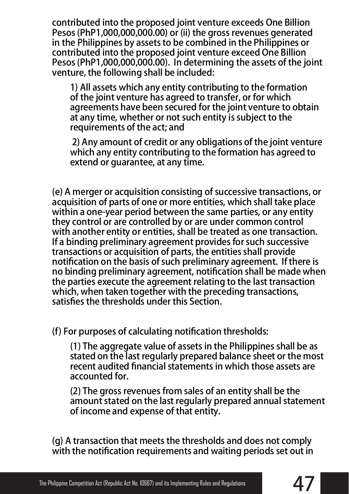contributed into the proposed joint venture exceeds One Billion Pesos (PhP1,000,000,000.00) or (ii) the gross revenues generated in the Philippines by assets to be combined in the Philippines or contributed into the proposed joint venture exceed One Billion Pesos (PhP1,000,000,000.00). In determining the assets of the joint venture, the following shall be included:

1) All assets which any entity contributing to the formation of the joint venture has agreed to transfer, or for which agreements have been secured for the joint venture to obtain at any time, whether or not such entity is subject to the requirements of the act; and

 2) Any amount of credit or any obligations of the joint venture which any entity contributing to the formation has agreed to extend or guarantee, at any time.

(e) A merger or acquisition consisting of successive transactions, or acquisition of parts of one or more entities, which shall take place within a one-year period between the same parties, or any entity they control or are controlled by or are under common control with another entity or entities, shall be treated as one transaction. If a binding preliminary agreement provides for such successive transactions or acquisition of parts, the entities shall provide notification on the basis of such preliminary agreement. If there is no binding preliminary agreement, notification shall be made when the parties execute the agreement relating to the last transaction which, when taken together with the preceding transactions, satisfies the thresholds under this Section.

(f) For purposes of calculating notification thresholds:

(1) The aggregate value of assets in the Philippines shall be as stated on the last regularly prepared balance sheet or the most recent audited financial statements in which those assets are accounted for.

(2) The gross revenues from sales of an entity shall be the amount stated on the last regularly prepared annual statement of income and expense of that entity.

(g) A transaction that meets the thresholds and does not comply with the notification requirements and waiting periods set out in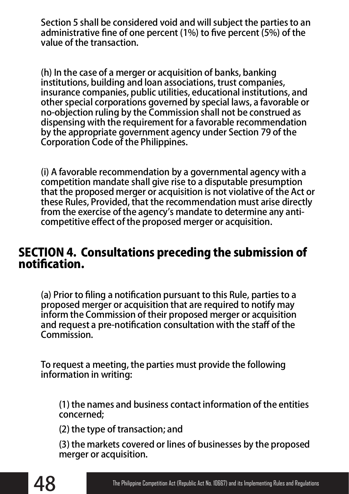Section 5 shall be considered void and will subject the parties to an administrative fine of one percent (1%) to five percent (5%) of the value of the transaction.

(h) In the case of a merger or acquisition of banks, banking institutions, building and loan associations, trust companies, insurance companies, public utilities, educational institutions, and other special corporations governed by special laws, a favorable or no-objection ruling by the Commission shall not be construed as dispensing with the requirement for a favorable recommendation by the appropriate government agency under Section 79 of the Corporation Code of the Philippines.

(i) A favorable recommendation by a governmental agency with a competition mandate shall give rise to a disputable presumption that the proposed merger or acquisition is not violative of the Act or these Rules, Provided, that the recommendation must arise directly from the exercise of the agency's mandate to determine any anticompetitive effect of the proposed merger or acquisition.

#### SECTION 4. Consultations preceding the submission of notification.

(a) Prior to filing a notification pursuant to this Rule, parties to a proposed merger or acquisition that are required to notify may inform the Commission of their proposed merger or acquisition and request a pre-notification consultation with the staff of the Commission.

To request a meeting, the parties must provide the following information in writing:

(1) the names and business contact information of the entities concerned;

(2) the type of transaction; and

(3) the markets covered or lines of businesses by the proposed merger or acquisition.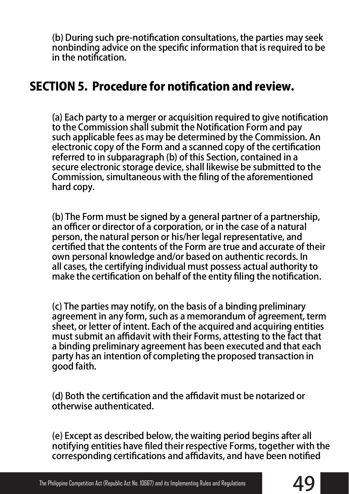(b) During such pre-notification consultations, the parties may seek nonbinding advice on the specific information that is required to be in the notification.

#### SECTION 5. Procedure for notification and review.

(a) Each party to a merger or acquisition required to give notification to the Commission shall submit the Notification Form and pay such applicable fees as may be determined by the Commission. An electronic copy of the Form and a scanned copy of the certification referred to in subparagraph (b) of this Section, contained in a secure electronic storage device, shall likewise be submitted to the Commission, simultaneous with the filing of the aforementioned hard copy.

(b) The Form must be signed by a general partner of a partnership, an officer or director of a corporation, or in the case of a natural person, the natural person or his/her legal representative, and certified that the contents of the Form are true and accurate of their own personal knowledge and/or based on authentic records. In all cases, the certifying individual must possess actual authority to make the certification on behalf of the entity filing the notification.

(c) The parties may notify, on the basis of a binding preliminary agreement in any form, such as a memorandum of agreement, term sheet, or letter of intent. Each of the acquired and acquiring entities must submit an affidavit with their Forms, attesting to the fact that a binding preliminary agreement has been executed and that each party has an intention of completing the proposed transaction in good faith.

(d) Both the certification and the affidavit must be notarized or otherwise authenticated.

(e) Except as described below, the waiting period begins after all notifying entities have filed their respective Forms, together with the corresponding certifications and affidavits, and have been notified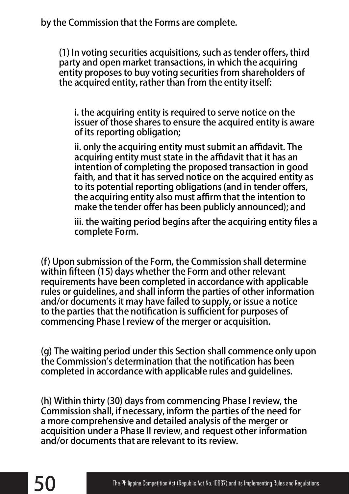by the Commission that the Forms are complete.

(1) In voting securities acquisitions, such as tender offers, third party and open market transactions, in which the acquiring entity proposes to buy voting securities from shareholders of the acquired entity, rather than from the entity itself:

i. the acquiring entity is required to serve notice on the issuer of those shares to ensure the acquired entity is aware of its reporting obligation;

ii. only the acquiring entity must submit an affidavit. The acquiring entity must state in the affidavit that it has an intention of completing the proposed transaction in good faith, and that it has served notice on the acquired entity as to its potential reporting obligations (and in tender offers, the acquiring entity also must affirm that the intention to make the tender offer has been publicly announced); and

iii. the waiting period begins after the acquiring entity files a complete Form.

(f) Upon submission of the Form, the Commission shall determine within fifteen (15) days whether the Form and other relevant requirements have been completed in accordance with applicable rules or guidelines, and shall inform the parties of other information and/or documents it may have failed to supply, or issue a notice to the parties that the notification is sufficient for purposes of commencing Phase I review of the merger or acquisition.

(g) The waiting period under this Section shall commence only upon the Commission's determination that the notification has been completed in accordance with applicable rules and guidelines.

(h) Within thirty (30) days from commencing Phase I review, the Commission shall, if necessary, inform the parties of the need for a more comprehensive and detailed analysis of the merger or acquisition under a Phase II review, and request other information and/or documents that are relevant to its review.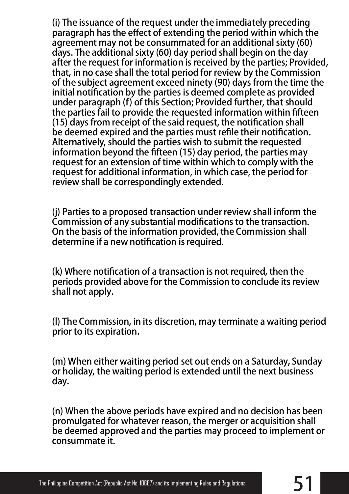(i) The issuance of the request under the immediately preceding paragraph has the effect of extending the period within which the agreement may not be consummated for an additional sixty (60) days. The additional sixty (60) day period shall begin on the day after the request for information is received by the parties; Provided, that, in no case shall the total period for review by the Commission of the subject agreement exceed ninety (90) days from the time the initial notification by the parties is deemed complete as provided under paragraph (f) of this Section; Provided further, that should the parties fail to provide the requested information within fifteen (15) days from receipt of the said request, the notification shall be deemed expired and the parties must refile their notification. Alternatively, should the parties wish to submit the requested information beyond the fifteen (15) day period, the parties may request for an extension of time within which to comply with the request for additional information, in which case, the period for review shall be correspondingly extended.

(j) Parties to a proposed transaction under review shall inform the Commission of any substantial modifications to the transaction. On the basis of the information provided, the Commission shall determine if a new notification is required.

(k) Where notification of a transaction is not required, then the periods provided above for the Commission to conclude its review shall not apply.

(l) The Commission, in its discretion, may terminate a waiting period prior to its expiration.

(m) When either waiting period set out ends on a Saturday, Sunday or holiday, the waiting period is extended until the next business day.

(n) When the above periods have expired and no decision has been promulgated for whatever reason, the merger or acquisition shall be deemed approved and the parties may proceed to implement or consummate it.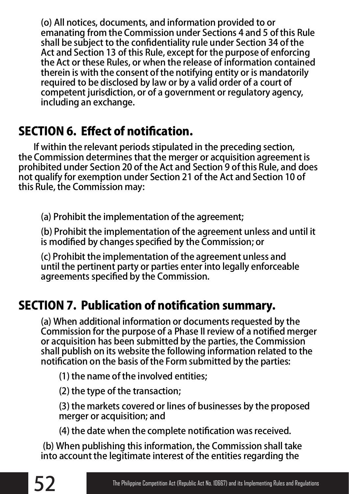(o) All notices, documents, and information provided to or emanating from the Commission under Sections 4 and 5 of this Rule shall be subject to the confidentiality rule under Section 34 of the Act and Section 13 of this Rule, except for the purpose of enforcing the Act or these Rules, or when the release of information contained therein is with the consent of the notifying entity or is mandatorily required to be disclosed by law or by a valid order of a court of competent jurisdiction, or of a government or regulatory agency, including an exchange.

# SECTION 6. Effect of notification.

If within the relevant periods stipulated in the preceding section, the Commission determines that the merger or acquisition agreement is prohibited under Section 20 of the Act and Section 9 of this Rule, and does not qualify for exemption under Section 21 of the Act and Section 10 of this Rule, the Commission may:

(a) Prohibit the implementation of the agreement;

(b) Prohibit the implementation of the agreement unless and until it is modified by changes specified by the Commission; or

(c) Prohibit the implementation of the agreement unless and until the pertinent party or parties enter into legally enforceable agreements specified by the Commission.

# SECTION 7. Publication of notification summary.

(a) When additional information or documents requested by the Commission for the purpose of a Phase II review of a notified merger or acquisition has been submitted by the parties, the Commission shall publish on its website the following information related to the notification on the basis of the Form submitted by the parties:

(1) the name of the involved entities;

(2) the type of the transaction;

(3) the markets covered or lines of businesses by the proposed merger or acquisition; and

(4) the date when the complete notification was received.

 (b) When publishing this information, the Commission shall take into account the legitimate interest of the entities regarding the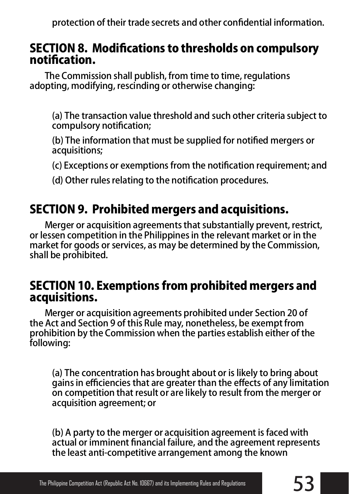protection of their trade secrets and other confidential information.

#### SECTION 8. Modifications to thresholds on compulsory notification.

The Commission shall publish, from time to time, regulations adopting, modifying, rescinding or otherwise changing:

(a) The transaction value threshold and such other criteria subject to compulsory notification;

(b) The information that must be supplied for notified mergers or acquisitions;

(c) Exceptions or exemptions from the notification requirement; and

(d) Other rules relating to the notification procedures.

#### SECTION 9. Prohibited mergers and acquisitions.

Merger or acquisition agreements that substantially prevent, restrict, or lessen competition in the Philippines in the relevant market or in the market for goods or services, as may be determined by the Commission, shall be prohibited.

#### SECTION 10. Exemptions from prohibited mergers and acquisitions.

Merger or acquisition agreements prohibited under Section 20 of the Act and Section 9 of this Rule may, nonetheless, be exempt from prohibition by the Commission when the parties establish either of the following:

(a) The concentration has brought about or is likely to bring about gains in efficiencies that are greater than the effects of any limitation on competition that result or are likely to result from the merger or acquisition agreement; or

(b) A party to the merger or acquisition agreement is faced with actual or imminent financial failure, and the agreement represents the least anti-competitive arrangement among the known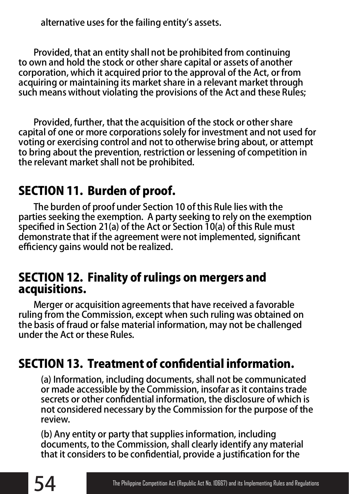alternative uses for the failing entity's assets.

Provided, that an entity shall not be prohibited from continuing to own and hold the stock or other share capital or assets of another corporation, which it acquired prior to the approval of the Act, or from acquiring or maintaining its market share in a relevant market through such means without violating the provisions of the Act and these Rules;

Provided, further, that the acquisition of the stock or other share capital of one or more corporations solely for investment and not used for voting or exercising control and not to otherwise bring about, or attempt to bring about the prevention, restriction or lessening of competition in the relevant market shall not be prohibited.

#### SECTION 11. Burden of proof.

The burden of proof under Section 10 of this Rule lies with the parties seeking the exemption. A party seeking to rely on the exemption specified in Section 21(a) of the Act or Section 10(a) of this Rule must demonstrate that if the agreement were not implemented, significant efficiency gains would not be realized.

#### SECTION 12. Finality of rulings on mergers and acquisitions.

Merger or acquisition agreements that have received a favorable ruling from the Commission, except when such ruling was obtained on the basis of fraud or false material information, may not be challenged under the Act or these Rules.

#### SECTION 13. Treatment of confidential information.

(a) Information, including documents, shall not be communicated or made accessible by the Commission, insofar as it contains trade secrets or other confidential information, the disclosure of which is not considered necessary by the Commission for the purpose of the review.

(b) Any entity or party that supplies information, including documents, to the Commission, shall clearly identify any material that it considers to be confidential, provide a justification for the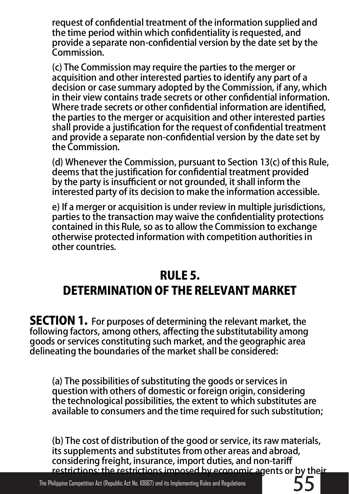request of confidential treatment of the information supplied and the time period within which confidentiality is requested, and provide a separate non-confidential version by the date set by the Commission.

(c) The Commission may require the parties to the merger or acquisition and other interested parties to identify any part of a decision or case summary adopted by the Commission, if any, which in their view contains trade secrets or other confidential information. Where trade secrets or other confidential information are identified, the parties to the merger or acquisition and other interested parties shall provide a justification for the request of confidential treatment and provide a separate non-confidential version by the date set by the Commission.

(d) Whenever the Commission, pursuant to Section 13(c) of this Rule, deems that the justification for confidential treatment provided by the party is insufficient or not grounded, it shall inform the interested party of its decision to make the information accessible.

e) If a merger or acquisition is under review in multiple jurisdictions, parties to the transaction may waive the confidentiality protections contained in this Rule, so as to allow the Commission to exchange otherwise protected information with competition authorities in other countries.

#### RULE 5. DETERMINATION OF THE RELEVANT MARKET

**SECTION 1.** For purposes of determining the relevant market, the following factors, among others, affecting the substitutability among goods or services constituting such market, and the geographic area delineating the boundaries of the market shall be considered:

(a) The possibilities of substituting the goods or services in question with others of domestic or foreign origin, considering the technological possibilities, the extent to which substitutes are available to consumers and the time required for such substitution;

(b) The cost of distribution of the good or service, its raw materials, its supplements and substitutes from other areas and abroad, considering freight, insurance, import duties, and non-tariff restrictions; the restrictions imposed by economic agents or by their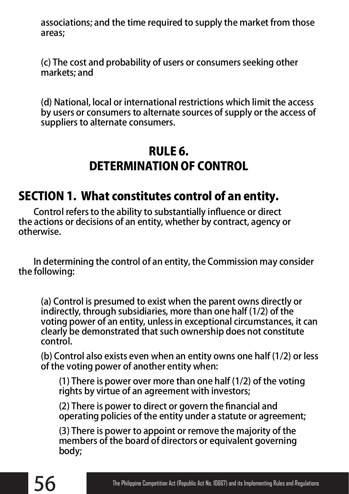associations; and the time required to supply the market from those areas;

(c) The cost and probability of users or consumers seeking other markets; and

(d) National, local or international restrictions which limit the access by users or consumers to alternate sources of supply or the access of suppliers to alternate consumers.

# RULE 6. DETERMINATION OF CONTROL

#### SECTION 1. What constitutes control of an entity.

Control refers to the ability to substantially influence or direct the actions or decisions of an entity, whether by contract, agency or otherwise.

In determining the control of an entity, the Commission may consider the following:

(a) Control is presumed to exist when the parent owns directly or indirectly, through subsidiaries, more than one half (1/2) of the voting power of an entity, unless in exceptional circumstances, it can clearly be demonstrated that such ownership does not constitute control.

(b) Control also exists even when an entity owns one half (1/2) or less of the voting power of another entity when:

(1) There is power over more than one half (1/2) of the voting rights by virtue of an agreement with investors;

(2) There is power to direct or govern the financial and operating policies of the entity under a statute or agreement;

(3) There is power to appoint or remove the majority of the members of the board of directors or equivalent governing body;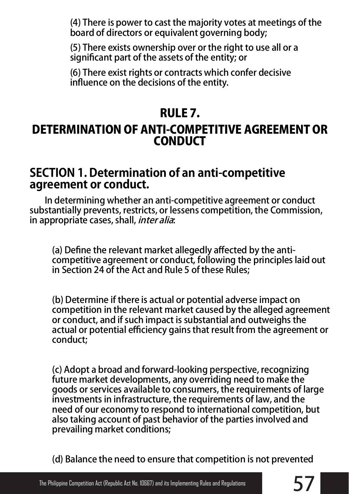(4) There is power to cast the majority votes at meetings of the board of directors or equivalent governing body;

(5) There exists ownership over or the right to use all or a significant part of the assets of the entity; or

(6) There exist rights or contracts which confer decisive influence on the decisions of the entity.

#### RULE 7.

#### DETERMINATION OF ANTI-COMPETITIVE AGREEMENT OR CONDUCT

#### **SECTION 1. Determination of an anti-competitive agreement or conduct.**

In determining whether an anti-competitive agreement or conduct substantially prevents, restricts, or lessens competition, the Commission, in appropriate cases, shall, inter alia:

(a) Define the relevant market allegedly affected by the anticompetitive agreement or conduct, following the principles laid out in Section 24 of the Act and Rule 5 of these Rules;

(b) Determine if there is actual or potential adverse impact on competition in the relevant market caused by the alleged agreement or conduct, and if such impact is substantial and outweighs the actual or potential efficiency gains that result from the agreement or conduct;

(c) Adopt a broad and forward-looking perspective, recognizing future market developments, any overriding need to make the goods or services available to consumers, the requirements of large investments in infrastructure, the requirements of law, and the need of our economy to respond to international competition, but also taking account of past behavior of the parties involved and prevailing market conditions;

(d) Balance the need to ensure that competition is not prevented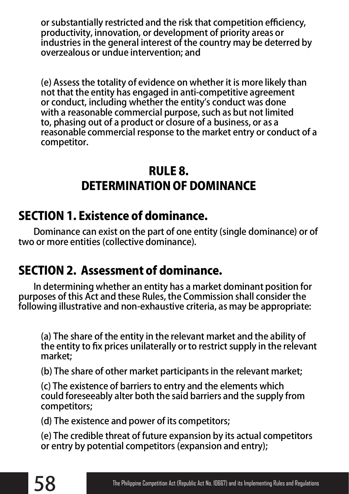or substantially restricted and the risk that competition efficiency, productivity, innovation, or development of priority areas or industries in the general interest of the country may be deterred by overzealous or undue intervention; and

(e) Assess the totality of evidence on whether it is more likely than not that the entity has engaged in anti-competitive agreement or conduct, including whether the entity's conduct was done with a reasonable commercial purpose, such as but not limited to, phasing out of a product or closure of a business, or as a reasonable commercial response to the market entry or conduct of a competitor.

# RULE 8. DETERMINATION OF DOMINANCE

#### SECTION 1. Existence of dominance.

Dominance can exist on the part of one entity (single dominance) or of two or more entities (collective dominance).

#### SECTION 2. Assessment of dominance.

In determining whether an entity has a market dominant position for purposes of this Act and these Rules, the Commission shall consider the following illustrative and non-exhaustive criteria, as may be appropriate:

(a) The share of the entity in the relevant market and the ability of the entity to fix prices unilaterally or to restrict supply in the relevant market;

(b) The share of other market participants in the relevant market;

(c) The existence of barriers to entry and the elements which could foreseeably alter both the said barriers and the supply from competitors;

(d) The existence and power of its competitors;

(e) The credible threat of future expansion by its actual competitors or entry by potential competitors (expansion and entry);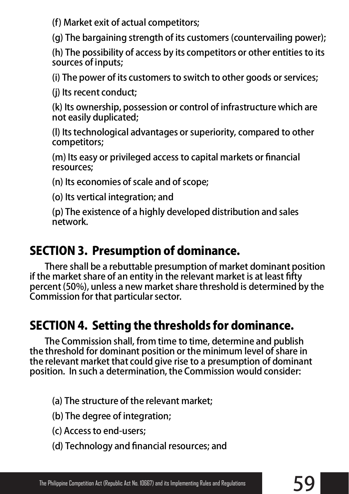(f) Market exit of actual competitors;

(g) The bargaining strength of its customers (countervailing power);

(h) The possibility of access by its competitors or other entities to its sources of inputs;

(i) The power of its customers to switch to other goods or services;

(j) Its recent conduct;

(k) Its ownership, possession or control of infrastructure which are not easily duplicated;

(l) Its technological advantages or superiority, compared to other competitors;

(m) Its easy or privileged access to capital markets or financial resources;

(n) Its economies of scale and of scope;

(o) Its vertical integration; and

(p) The existence of a highly developed distribution and sales network.

#### SECTION 3. Presumption of dominance.

There shall be a rebuttable presumption of market dominant position if the market share of an entity in the relevant market is at least fifty percent (50%), unless a new market share threshold is determined by the Commission for that particular sector.

#### SECTION 4. Setting the thresholds for dominance.

The Commission shall, from time to time, determine and publish the threshold for dominant position or the minimum level of share in the relevant market that could give rise to a presumption of dominant position. In such a determination, the Commission would consider:

#### (a) The structure of the relevant market;

- (b) The degree of integration;
- (c) Access to end-users;
- (d) Technology and financial resources; and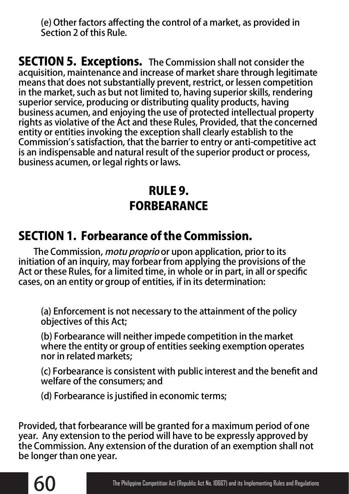(e) Other factors affecting the control of a market, as provided in Section 2 of this Rule.

**SECTION 5. Exceptions.** The Commission shall not consider the acquisition, maintenance and increase of market share through legitimate means that does not substantially prevent, restrict, or lessen competition in the market, such as but not limited to, having superior skills, rendering superior service, producing or distributing quality products, having business acumen, and enjoying the use of protected intellectual property rights as violative of the Act and these Rules, Provided, that the concerned entity or entities invoking the exception shall clearly establish to the Commission's satisfaction, that the barrier to entry or anti-competitive act is an indispensable and natural result of the superior product or process, business acumen, or legal rights or laws.

# RULE 9. **FORBEARANCE**

#### SECTION 1. Forbearance of the Commission.

The Commission, *motu proprio* or upon application, prior to its initiation of an inquiry, may forbear from applying the provisions of the Act or these Rules, for a limited time, in whole or in part, in all or specific cases, on an entity or group of entities, if in its determination:

(a) Enforcement is not necessary to the attainment of the policy objectives of this Act;

(b) Forbearance will neither impede competition in the market where the entity or group of entities seeking exemption operates nor in related markets;

(c) Forbearance is consistent with public interest and the benefit and welfare of the consumers; and

(d) Forbearance is justified in economic terms;

Provided, that forbearance will be granted for a maximum period of one year. Any extension to the period will have to be expressly approved by the Commission. Any extension of the duration of an exemption shall not be longer than one year.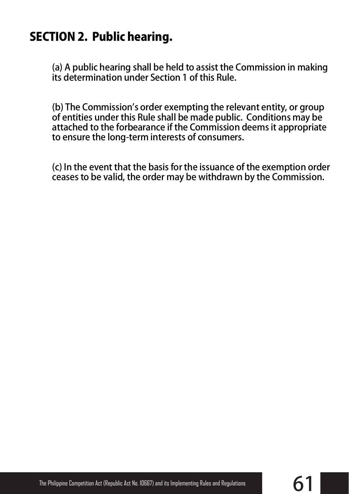#### SECTION 2. Public hearing.

(a) A public hearing shall be held to assist the Commission in making its determination under Section 1 of this Rule.

(b) The Commission's order exempting the relevant entity, or group of entities under this Rule shall be made public. Conditions may be attached to the forbearance if the Commission deems it appropriate to ensure the long-term interests of consumers.

(c) In the event that the basis for the issuance of the exemption order ceases to be valid, the order may be withdrawn by the Commission.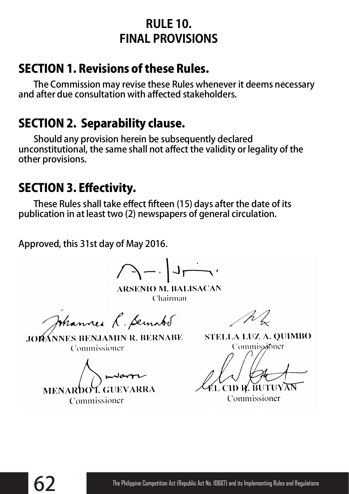#### **RULE 10. FINAL PROVISIONS**

#### SECTION 1. Revisions of these Rules.

The Commission may revise these Rules whenever it deems necessary and after due consultation with affected stakeholders.

#### SECTION 2. Separability clause.

Should any provision herein be subsequently declared unconstitutional, the same shall not affect the validity or legality of the other provisions.

#### SECTION 3. Effectivity.

These Rules shall take effect fifteen (15) days after the date of its publication in at least two (2) newspapers of general circulation.

Approved, this 31st day of May 2016.

 $\sim$   $\sim$   $\sim$ 

**ARSENIO M. BALISACAN** Chairman

Whannes R. Semato

**JOPANNES BENJAMIN R. BERNABE** Commissioner

**L GUEVARRA MENARDO** Commissioner

**STELLA LUZ A. QUIMBO** Commissioner

Commissioner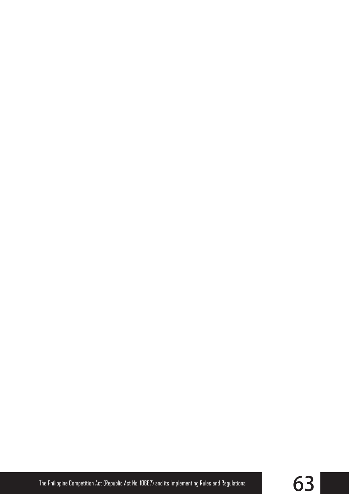The Philippine Competition Act (Republic Act No. 10667) and its Implementing Rules and Regulations  $\bullet$  63